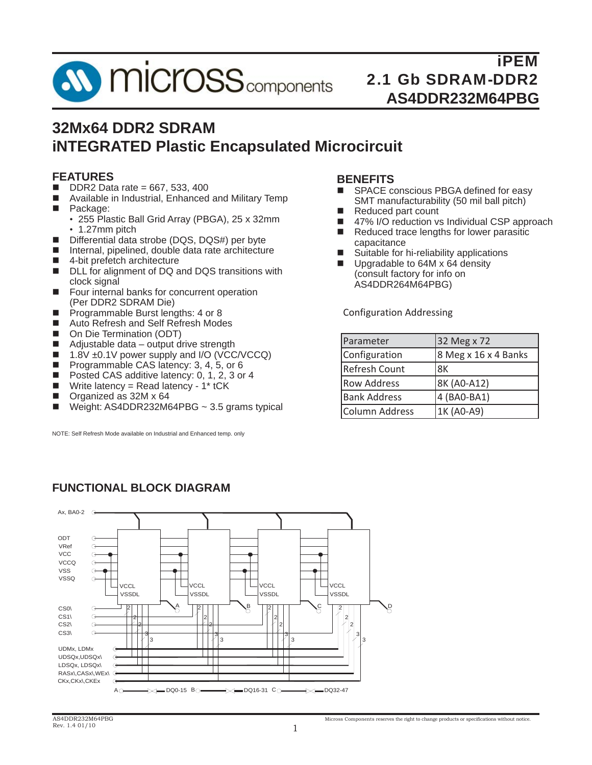

# **32Mx64 DDR2 SDRAM iNTEGRATED Plastic Encapsulated Microcircuit**

### **FEATURES**

- $\Box$  DDR2 Data rate = 667, 533, 400
- Available in Industrial, Enhanced and Military Temp
- **Package:** 
	- 255 Plastic Ball Grid Array (PBGA), 25 x 32mm • 1.27mm pitch
- Differential data strobe (DQS, DQS#) per byte
- Internal, pipelined, double data rate architecture
- 4-bit prefetch architecture
- DLL for alignment of DQ and DQS transitions with clock signal
- **Four internal banks for concurrent operation** (Per DDR2 SDRAM Die)
- **Programmable Burst lengths: 4 or 8**
- Auto Refresh and Self Refresh Modes
- On Die Termination (ODT)
- Adjustable data output drive strength
- $\blacksquare$  1.8V  $\pm$ 0.1V power supply and I/O (VCC/VCCQ)
- **Programmable CAS latency: 3, 4, 5, or 6**
- Posted CAS additive latency: 0, 1, 2, 3 or 4
- Write latency = Read latency  $1*$  tCK
- Organized as 32M x 64
- $\blacksquare$  Weight: AS4DDR232M64PBG ~ 3.5 grams typical

NOTE: Self Refresh Mode available on Industrial and Enhanced temp. only

#### **BENEFITS**

- SPACE conscious PBGA defined for easy SMT manufacturability (50 mil ball pitch)
- Reduced part count
- 47% I/O reduction vs Individual CSP approach
- $\blacksquare$  Reduced trace lengths for lower parasitic capacitance
- Suitable for hi-reliability applications
- Upgradable to 64M x 64 density (consult factory for info on AS4DDR264M64PBG)

Configuration Addressing

| Parameter            | 32 Meg x 72          |
|----------------------|----------------------|
| Configuration        | 8 Meg x 16 x 4 Banks |
| <b>Refresh Count</b> | 8K                   |
| <b>Row Address</b>   | 8K (A0-A12)          |
| <b>Bank Address</b>  | 4 (BA0-BA1)          |
| Column Address       | 1K (A0-A9)           |



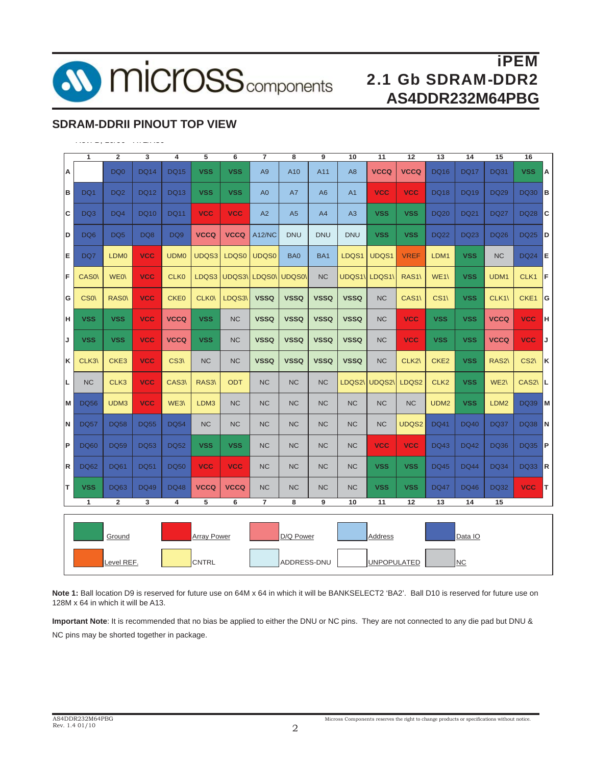

# **SDRAM-DDRII PINOUT TOP VIEW**

|    | 1               | $\overline{2}$   | 3           | 4           | 5                  | 6           | $\overline{\phantom{a}}$ | 8              | 9              | 10             | 11             | 12               | 13               | 14          | 15               | 16               |          |
|----|-----------------|------------------|-------------|-------------|--------------------|-------------|--------------------------|----------------|----------------|----------------|----------------|------------------|------------------|-------------|------------------|------------------|----------|
| Α  |                 | DQ0              | <b>DQ14</b> | <b>DQ15</b> | <b>VSS</b>         | <b>VSS</b>  | A <sub>9</sub>           | A10            | A11            | A <sub>8</sub> | <b>VCCQ</b>    | <b>VCCQ</b>      | <b>DQ16</b>      | DQ17        | <b>DQ31</b>      | <b>VSS</b>       | Α        |
| в  | DQ1             | DQ <sub>2</sub>  | DQ12        | <b>DQ13</b> | <b>VSS</b>         | <b>VSS</b>  | A <sub>0</sub>           | A7             | A <sub>6</sub> | A <sub>1</sub> | <b>VCC</b>     | <b>VCC</b>       | <b>DQ18</b>      | DQ19        | DQ29             | <b>DQ30</b>      | B        |
| c  | DQ3             | DQ4              | DQ10        | <b>DQ11</b> | <b>VCC</b>         | <b>VCC</b>  | A2                       | A <sub>5</sub> | A4             | A <sub>3</sub> | <b>VSS</b>     | <b>VSS</b>       | <b>DQ20</b>      | <b>DQ21</b> | <b>DQ27</b>      | <b>DQ28</b>      | C        |
| D  | DQ <sub>6</sub> | DQ <sub>5</sub>  | DQ8         | DQ9         | <b>VCCQ</b>        | <b>VCCQ</b> | <b>A12/NC</b>            | DNU            | <b>DNU</b>     | <b>DNU</b>     | <b>VSS</b>     | <b>VSS</b>       | DQ22             | DQ23        | <b>DQ26</b>      | <b>DQ25</b>      | D        |
| E  | DQ7             | LDM <sub>0</sub> | <b>VCC</b>  | <b>UDM0</b> | UDQS3              | LDQS0       | UDQS0                    | BA0            | BA1            | LDQS1          | UDQS1          | <b>VREF</b>      | LDM1             | <b>VSS</b>  | <b>NC</b>        | <b>DQ24</b>      | Е        |
| F  | <b>CASO</b>     | WE0\             | <b>VCC</b>  | <b>CLK0</b> | LDQS3              | UDQS3\      | LDQS0\                   | UDQS0\         | <b>NC</b>      | UDQS1\         | LDQS1\         | RAS <sub>1</sub> | WE1\             | <b>VSS</b>  | UDM1             | CLK <sub>1</sub> | IF.      |
| G  | CS <sub>0</sub> | <b>RASO</b>      | <b>VCC</b>  | <b>CKE0</b> | CLK0\              | LDQS3\      | <b>VSSQ</b>              | <b>VSSQ</b>    | <b>VSSQ</b>    | <b>VSSQ</b>    | <b>NC</b>      | CAS1\            | $CS1\backslash$  | <b>VSS</b>  | CLK1\            | CKE1             | <b>G</b> |
| H  | <b>VSS</b>      | <b>VSS</b>       | <b>VCC</b>  | <b>VCCQ</b> | <b>VSS</b>         | <b>NC</b>   | <b>VSSQ</b>              | <b>VSSQ</b>    | <b>VSSQ</b>    | <b>VSSQ</b>    | <b>NC</b>      | <b>VCC</b>       | <b>VSS</b>       | <b>VSS</b>  | <b>VCCQ</b>      | <b>VCC</b>       | H.       |
| J  | <b>VSS</b>      | <b>VSS</b>       | <b>VCC</b>  | <b>VCCQ</b> | <b>VSS</b>         | <b>NC</b>   | <b>VSSQ</b>              | <b>VSSQ</b>    | <b>VSSQ</b>    | <b>VSSQ</b>    | <b>NC</b>      | <b>VCC</b>       | <b>VSS</b>       | <b>VSS</b>  | <b>VCCQ</b>      | <b>VCC</b>       | J        |
| κ  | CLK3\           | CKE <sub>3</sub> | <b>VCC</b>  | CS3\        | <b>NC</b>          | <b>NC</b>   | <b>VSSQ</b>              | <b>VSSQ</b>    | <b>VSSQ</b>    | <b>VSSQ</b>    | <b>NC</b>      | CLK <sub>2</sub> | CKE <sub>2</sub> | <b>VSS</b>  | RAS2\            | CS <sub>2</sub>  | ΙK.      |
| L  | <b>NC</b>       | CLK <sub>3</sub> | <b>VCC</b>  | CAS3\       | RAS3\              | <b>ODT</b>  | <b>NC</b>                | <b>NC</b>      | <b>NC</b>      | LDQS2\         | <b>UDQS2\</b>  | LDQS2            | CLK <sub>2</sub> | <b>VSS</b>  | WE2\             | CAS2\            | IL.      |
| M  | <b>DQ56</b>     | UDM3             | <b>VCC</b>  | WE3\        | LDM3               | <b>NC</b>   | <b>NC</b>                | <b>NC</b>      | <b>NC</b>      | <b>NC</b>      | NC.            | <b>NC</b>        | UDM <sub>2</sub> | <b>VSS</b>  | LDM <sub>2</sub> | <b>DQ39</b>      | M        |
| N  | <b>DQ57</b>     | <b>DQ58</b>      | <b>DQ55</b> | <b>DQ54</b> | NC.                | <b>NC</b>   | <b>NC</b>                | <b>NC</b>      | <b>NC</b>      | <b>NC</b>      | <b>NC</b>      | UDQS2            | <b>DQ41</b>      | <b>DQ40</b> | DQ37             | DQ38             | N        |
| ΙP | <b>DQ60</b>     | <b>DQ59</b>      | <b>DQ53</b> | <b>DQ52</b> | <b>VSS</b>         | <b>VSS</b>  | <b>NC</b>                | <b>NC</b>      | <b>NC</b>      | <b>NC</b>      | <b>VCC</b>     | <b>VCC</b>       | DQ43             | DQ42        | <b>DQ36</b>      | <b>DQ35</b>      | P        |
| R  | <b>DQ62</b>     | <b>DQ61</b>      | <b>DQ51</b> | <b>DQ50</b> | <b>VCC</b>         | <b>VCC</b>  | <b>NC</b>                | <b>NC</b>      | <b>NC</b>      | <b>NC</b>      | <b>VSS</b>     | <b>VSS</b>       | <b>DQ45</b>      | <b>DQ44</b> | <b>DQ34</b>      | <b>DQ33</b>      | R        |
| IΤ | <b>VSS</b>      | <b>DQ63</b>      | <b>DQ49</b> | <b>DQ48</b> | <b>VCCQ</b>        | <b>VCCQ</b> | <b>NC</b>                | <b>NC</b>      | <b>NC</b>      | <b>NC</b>      | <b>VSS</b>     | <b>VSS</b>       | <b>DQ47</b>      | <b>DQ46</b> | <b>DQ32</b>      | <b>VCC</b>       | IΤ       |
|    | 1               | $\overline{2}$   | 3           | 4           | 5                  | 6           | 7                        | 8              | 9              | 10             | 11             | 12               | 13               | 14          | 15               |                  |          |
|    |                 | Ground           |             |             | <b>Array Power</b> |             |                          | D/Q Power      |                |                | <u>Address</u> |                  |                  | Data IO     |                  |                  |          |
|    |                 | Level REF.       |             |             | <b>CNTRL</b>       |             |                          | ADDRESS-DNU    |                |                | UNPOPULATED    |                  |                  | <b>NC</b>   |                  |                  |          |

**Note 1:** Ball location D9 is reserved for future use on 64M x 64 in which it will be BANKSELECT2 'BA2'. Ball D10 is reserved for future use on 128M x 64 in which it will be A13.

**Important Note**: It is recommended that no bias be applied to either the DNU or NC pins. They are not connected to any die pad but DNU &

NC pins may be shorted together in package.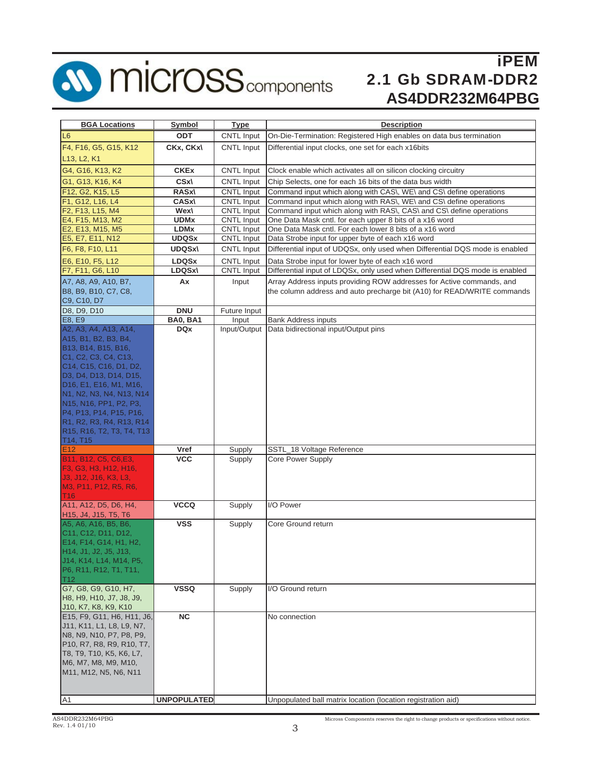

# **SD MICrOSS** components

# iPEM 2.1 Gb SDRAM-DDR2 **AS4DDR232M64PBG**

| <b>BGA Locations</b>                                                                                   | <b>Symbol</b>      | <b>Type</b>           | <b>Description</b>                                                           |
|--------------------------------------------------------------------------------------------------------|--------------------|-----------------------|------------------------------------------------------------------------------|
| L <sub>6</sub>                                                                                         | <b>ODT</b>         | <b>CNTL Input</b>     | On-Die-Termination: Registered High enables on data bus termination          |
| F4, F16, G5, G15, K12                                                                                  | CKx, CKx\          | <b>CNTL Input</b>     | Differential input clocks, one set for each x16bits                          |
|                                                                                                        |                    |                       |                                                                              |
| L <sub>13</sub> , L <sub>2</sub> , K <sub>1</sub>                                                      |                    |                       |                                                                              |
| G4, G16, K13, K2                                                                                       | <b>CKEx</b>        | CNTL Input            | Clock enable which activates all on silicon clocking circuitry               |
| G1, G13, K16, K4                                                                                       | CSx\               | CNTL Input            | Chip Selects, one for each 16 bits of the data bus width                     |
| F12, G2, K15, L5                                                                                       | <b>RASx\</b>       | CNTL Input            | Command input which along with CAS\, WE\ and CS\ define operations           |
| F1, G12, L16, L4                                                                                       | <b>CASx\</b>       | <b>CNTL Input</b>     | Command input which along with RAS\, WE\ and CS\ define operations           |
| F2, F13, L15, M4                                                                                       | Wex\               | <b>CNTL Input</b>     | Command input which along with RAS\, CAS\ and CS\ define operations          |
| E4, F15, M13, M2                                                                                       | <b>UDMx</b>        | <b>CNTL Input</b>     | One Data Mask cntl. for each upper 8 bits of a x16 word                      |
| E2, E13, M15, M5                                                                                       | <b>LDMx</b>        | <b>CNTL Input</b>     | One Data Mask cntl. For each lower 8 bits of a x16 word                      |
| E5, E7, E11, N12                                                                                       | <b>UDQSx</b>       | <b>CNTL Input</b>     | Data Strobe input for upper byte of each x16 word                            |
| F6, F8, F10, L11                                                                                       | <b>UDQSx\</b>      | <b>CNTL Input</b>     | Differential input of UDQSx, only used when Differential DQS mode is enabled |
| E6, E10, F5, L12                                                                                       | <b>LDQSx</b>       | CNTL Input            | Data Strobe input for lower byte of each x16 word                            |
| F7, F11, G6, L10                                                                                       | LDQSx\             | CNTL Input            | Differential input of LDQSx, only used when Differential DQS mode is enabled |
| A7, A8, A9, A10, B7,                                                                                   | Ax                 | Input                 | Array Address inputs providing ROW addresses for Active commands, and        |
| B8, B9, B10, C7, C8,                                                                                   |                    |                       | the column address and auto precharge bit (A10) for READ/WRITE commands      |
| C9, C10, D7                                                                                            |                    |                       |                                                                              |
| D8, D9, D10                                                                                            | <b>DNU</b>         | Future Input          |                                                                              |
| E8, E9<br>A2, A3, A4, A13, A14,                                                                        | <b>BA0, BA1</b>    | Input<br>Input/Output | <b>Bank Address inputs</b><br>Data bidirectional input/Output pins           |
| A15, B1, B2, B3, B4,                                                                                   | <b>DQx</b>         |                       |                                                                              |
| B13, B14, B15, B16,                                                                                    |                    |                       |                                                                              |
| C <sub>1</sub> , C <sub>2</sub> , C <sub>3</sub> , C <sub>4</sub> , C <sub>13</sub> ,                  |                    |                       |                                                                              |
| C <sub>14</sub> , C <sub>15</sub> , C <sub>16</sub> , D <sub>1</sub> , D <sub>2</sub> ,                |                    |                       |                                                                              |
| D3, D4, D13, D14, D15,                                                                                 |                    |                       |                                                                              |
| D <sub>16</sub> , E <sub>1</sub> , E <sub>16</sub> , M <sub>1</sub> , M <sub>16</sub> ,                |                    |                       |                                                                              |
| N1, N2, N3, N4, N13, N14                                                                               |                    |                       |                                                                              |
| N15, N16, PP1, P2, P3,                                                                                 |                    |                       |                                                                              |
| P4, P13, P14, P15, P16,                                                                                |                    |                       |                                                                              |
| R1, R2, R3, R4, R13, R14                                                                               |                    |                       |                                                                              |
| R <sub>15</sub> , R <sub>16</sub> , T <sub>2</sub> , T <sub>3</sub> , T <sub>4</sub> , T <sub>13</sub> |                    |                       |                                                                              |
| T <sub>14</sub> , T <sub>15</sub>                                                                      |                    |                       |                                                                              |
| E <sub>12</sub>                                                                                        | Vref               | Supply                | SSTL_18 Voltage Reference                                                    |
| B11, B12, C5, C6, E3,                                                                                  | <b>VCC</b>         | Supply                | <b>Core Power Supply</b>                                                     |
| F3, G3, H3, H12, H16,                                                                                  |                    |                       |                                                                              |
| J3, J12, J16, K3, L3,                                                                                  |                    |                       |                                                                              |
| M3, P11, P12, R5, R6,<br>T <sub>16</sub>                                                               |                    |                       |                                                                              |
| A11, A12, D5, D6, H4,                                                                                  | <b>VCCQ</b>        | Supply                | I/O Power                                                                    |
| H15, J4, J15, T5, T6                                                                                   |                    |                       |                                                                              |
| A5, A6, A16, B5, B6,                                                                                   | <b>VSS</b>         | Supply                | Core Ground return                                                           |
| C <sub>11</sub> , C <sub>12</sub> , D <sub>11</sub> , D <sub>12</sub> ,                                |                    |                       |                                                                              |
| E14, F14, G14, H1, H2,                                                                                 |                    |                       |                                                                              |
| H14, J1, J2, J5, J13,                                                                                  |                    |                       |                                                                              |
| J14, K14, L14, M14, P5,                                                                                |                    |                       |                                                                              |
| P6, R11, R12, T1, T11,<br>T12                                                                          |                    |                       |                                                                              |
| G7, G8, G9, G10, H7,                                                                                   | <b>VSSQ</b>        | Supply                | I/O Ground return                                                            |
| H8, H9, H10, J7, J8, J9,                                                                               |                    |                       |                                                                              |
| J10, K7, K8, K9, K10                                                                                   |                    |                       |                                                                              |
| E15, F9, G11, H6, H11, J6,                                                                             | NC.                |                       | No connection                                                                |
| J11, K11, L1, L8, L9, N7,                                                                              |                    |                       |                                                                              |
| N8, N9, N10, P7, P8, P9,                                                                               |                    |                       |                                                                              |
| P10, R7, R8, R9, R10, T7,                                                                              |                    |                       |                                                                              |
| T8, T9, T10, K5, K6, L7,                                                                               |                    |                       |                                                                              |
| M6, M7, M8, M9, M10,                                                                                   |                    |                       |                                                                              |
| M11, M12, N5, N6, N11                                                                                  |                    |                       |                                                                              |
|                                                                                                        |                    |                       |                                                                              |
| A <sub>1</sub>                                                                                         | <b>UNPOPULATED</b> |                       | Unpopulated ball matrix location (location registration aid)                 |
|                                                                                                        |                    |                       |                                                                              |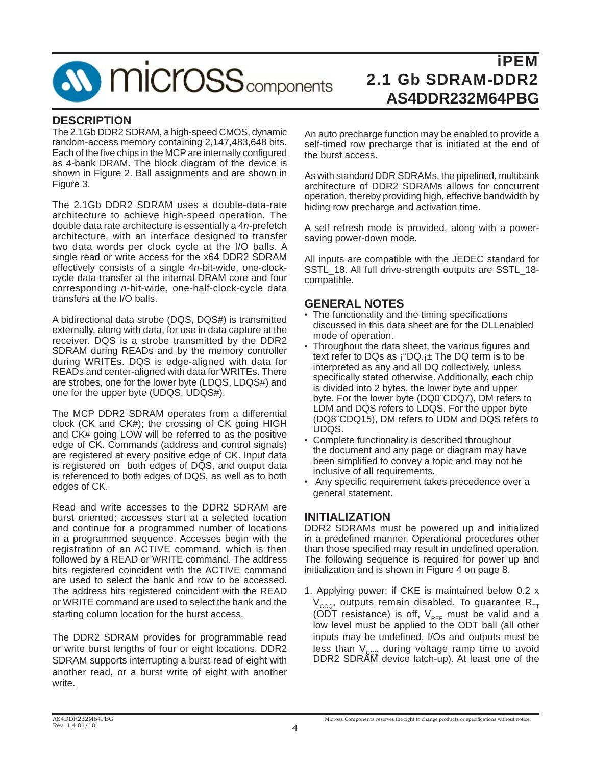**SV MICrOSS** components

# iPEM 2.1 Gb SDRAM-DDR2 **AS4DDR232M64PBG**

#### **DESCRIPTION**

The 2.1Gb DDR2 SDRAM, a high-speed CMOS, dynamic random-access memory containing 2,147,483,648 bits. Each of the five chips in the MCP are internally configured as 4-bank DRAM. The block diagram of the device is shown in Figure 2. Ball assignments and are shown in Figure 3.

The 2.1Gb DDR2 SDRAM uses a double-data-rate architecture to achieve high-speed operation. The double data rate architecture is essentially a 4*n*-prefetch architecture, with an interface designed to transfer two data words per clock cycle at the I/O balls. A single read or write access for the x64 DDR2 SDRAM effectively consists of a single 4*n*-bit-wide, one-clockcycle data transfer at the internal DRAM core and four corresponding *n*-bit-wide, one-half-clock-cycle data transfers at the I/O balls.

A bidirectional data strobe (DQS, DQS#) is transmitted externally, along with data, for use in data capture at the receiver. DQS is a strobe transmitted by the DDR2 SDRAM during READs and by the memory controller during WRITEs. DQS is edge-aligned with data for READs and center-aligned with data for WRITEs. There are strobes, one for the lower byte (LDQS, LDQS#) and one for the upper byte (UDQS, UDQS#).

The MCP DDR2 SDRAM operates from a differential clock (CK and CK#); the crossing of CK going HIGH and CK# going LOW will be referred to as the positive edge of CK. Commands (address and control signals) are registered at every positive edge of CK. Input data is registered on both edges of DQS, and output data is referenced to both edges of DQS, as well as to both edges of CK.

Read and write accesses to the DDR2 SDRAM are burst oriented; accesses start at a selected location and continue for a programmed number of locations in a programmed sequence. Accesses begin with the registration of an ACTIVE command, which is then followed by a READ or WRITE command. The address bits registered coincident with the ACTIVE command are used to select the bank and row to be accessed. The address bits registered coincident with the READ or WRITE command are used to select the bank and the starting column location for the burst access.

The DDR2 SDRAM provides for programmable read or write burst lengths of four or eight locations. DDR2 SDRAM supports interrupting a burst read of eight with another read, or a burst write of eight with another write.

An auto precharge function may be enabled to provide a self-timed row precharge that is initiated at the end of the burst access.

As with standard DDR SDRAMs, the pipelined, multibank architecture of DDR2 SDRAMs allows for concurrent operation, thereby providing high, effective bandwidth by hiding row precharge and activation time.

A self refresh mode is provided, along with a powersaving power-down mode.

All inputs are compatible with the JEDEC standard for SSTL\_18. All full drive-strength outputs are SSTL\_18 compatible.

#### **GENERAL NOTES**

- The functionality and the timing specifications discussed in this data sheet are for the DLLenabled mode of operation.
- Throughout the data sheet, the various figures and text refer to DQs as  $i^{\circ}DQ_{i}$  + The DQ term is to be interpreted as any and all DQ collectively, unless specifically stated otherwise. Additionally, each chip is divided into 2 bytes, the lower byte and upper byte. For the lower byte (DQ0¨CDQ7), DM refers to LDM and DQS refers to LDQS. For the upper byte (DQ8¨CDQ15), DM refers to UDM and DQS refers to UDQS.
- Complete functionality is described throughout the document and any page or diagram may have been simplified to convey a topic and may not be inclusive of all requirements.
- Any specific requirement takes precedence over a general statement.

#### **INITIALIZATION**

DDR2 SDRAMs must be powered up and initialized in a predefined manner. Operational procedures other than those specified may result in undefined operation. The following sequence is required for power up and initialization and is shown in Figure 4 on page 8.

1. Applying power; if CKE is maintained below 0.2 x  $V_{ccO}$ , outputs remain disabled. To guarantee R<sub>TT</sub> (ODT resistance) is off,  $V_{REF}$  must be valid and a low level must be applied to the ODT ball (all other inputs may be undefined, I/Os and outputs must be less than  $V_{ccQ}$  during voltage ramp time to avoid DDR2 SDRAM device latch-up). At least one of the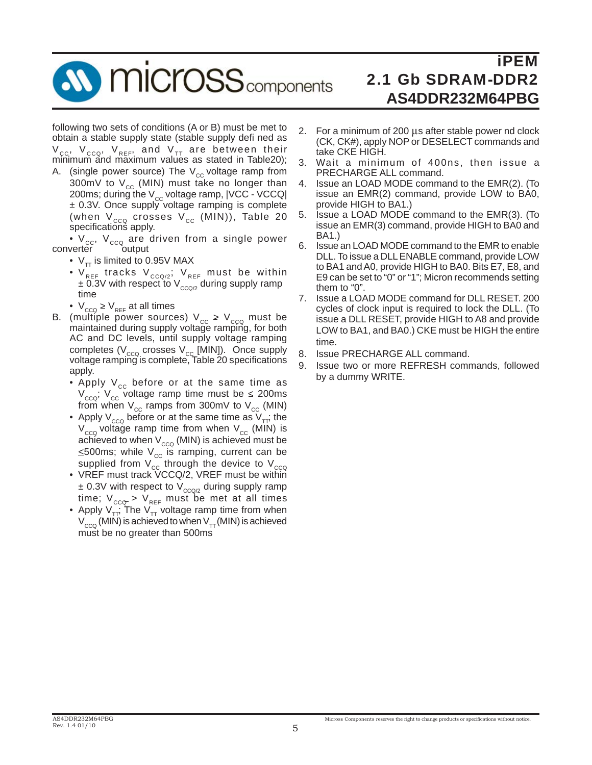**MICrosS** components

iPEM 2.1 Gb SDRAM-DDR2 **AS4DDR232M64PBG**

following two sets of conditions (A or B) must be met to obtain a stable supply state (stable supply defi ned as  $V_{\rm cc}$ ,  $V_{\rm cca}$ ,  $V_{\rm REF}$ , and  $V_{\rm TT}$  are between their minimum and maximum values as stated in Table20);

A. (single power source) The  $V_{cc}$  voltage ramp from 300mV to  $V_{cc}$  (MIN) must take no longer than 200ms; during the  $V_{cc}$  voltage ramp,  $|VCC - VCCQ|$  ± 0.3V. Once supply voltage ramping is complete (when  $V_{ccQ}$  crosses  $V_{cc}$  (MIN)), Table 20 specifications apply.

•  $V_{\text{ccc}}$ ,  $V_{\text{ccc}}$  are driven from a single power verter converter

- $V_{TT}$  is limited to 0.95V MAX
- $\bm{\mathsf{V}}_{\mathsf{REF}}$  tracks  $\bm{\mathsf{V}}_{\mathsf{CCQ}/2} ;$   $\bm{\mathsf{V}}_{\mathsf{REF}}$  must be within  $\pm$  0.3V with respect to V<sub>cco/2</sub> during supply ramp time
	- $V_{\text{ccc}} \geq V_{\text{REF}}$  at all times
- B. (multiple power sources)  $\rm V_{cc}$  >  $\rm V_{ccQ}$  must be maintained during supply voltage ramping, for both AC and DC levels, until supply voltage ramping completes ( $V_{ccc}$  crosses  $V_{cc}$  [MIN]). Once supply voltage ramping is complete, Table 20 specifications apply.
	- Apply  $V_{cc}$  before or at the same time as  $V_{ccc}$ ;  $V_{cc}$  voltage ramp time must be < 200ms from when  $V_{cc}$  ramps from 300mV to  $V_{cc}$  (MIN)
- Apply  $V_{ccQ}$  before or at the same time as  $V_{TT}$ ; the  $V_{ccQ}$  voltage ramp time from when  $V_{cc}$  (MIN) is achieved to when  $V_{ccQ}$  (MIN) is achieved must be  $\leq$ 500ms; while V<sub>cc</sub> is ramping, current can be supplied from  $\mathsf{V}_{\mathsf{cc}}$  through the device to  $\mathsf{V}_{\mathsf{ccQ}}$
- VREF must track VCCQ/2, VREF must be within  $\pm$  0.3V with respect to  $\rm V_{CCQ/2}$  during supply ramp time;  $V_{_{CCC}}$  >  $V_{_{REF}}$  must be met at all times
- Apply  $V_{TT}$ ; The  $V_{TT}$  voltage ramp time from when  $\rm V_{\rm CCA}$  (MIN) is achieved to when  $\rm V_{\rm \tau T}$  (MIN) is achieved must be no greater than 500ms
- 2. For a minimum of 200 μs after stable power nd clock (CK, CK#), apply NOP or DESELECT commands and take CKE HIGH.
- 3. Wait a minimum of 400ns, then issue a PRECHARGE ALL command.
- 4. Issue an LOAD MODE command to the EMR(2). (To issue an EMR(2) command, provide LOW to BA0, provide HIGH to BA1.)
- 5. Issue a LOAD MODE command to the EMR(3). (To issue an EMR(3) command, provide HIGH to BA0 and BA1.)
- 6. Issue an LOAD MODE command to the EMR to enable DLL. To issue a DLL ENABLE command, provide LOW to BA1 and A0, provide HIGH to BA0. Bits E7, E8, and E9 can be set to "0" or "1"; Micron recommends setting them to "0".<br>7. Issue a LO/
- 7. Issue a LOAD MODE command for DLL RESET. 200 cycles of clock input is required to lock the DLL. (To issue a DLL RESET, provide HIGH to A8 and provide LOW to BA1, and BA0.) CKE must be HIGH the entire time.
- 8. Issue PRECHARGE ALL command.
- 9. Issue two or more REFRESH commands, followed by a dummy WRITE.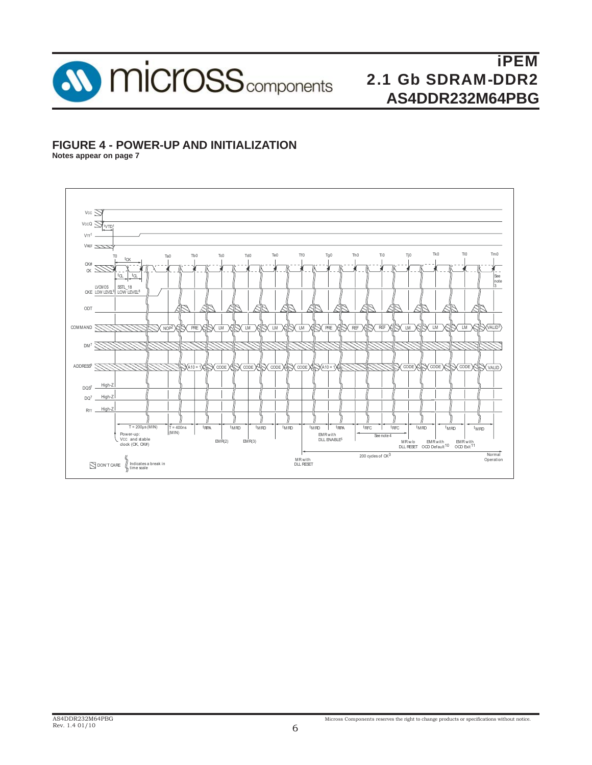

# **FIGURE 4 - POWER-UP AND INITIALIZATION**

**Notes appear on page 7**

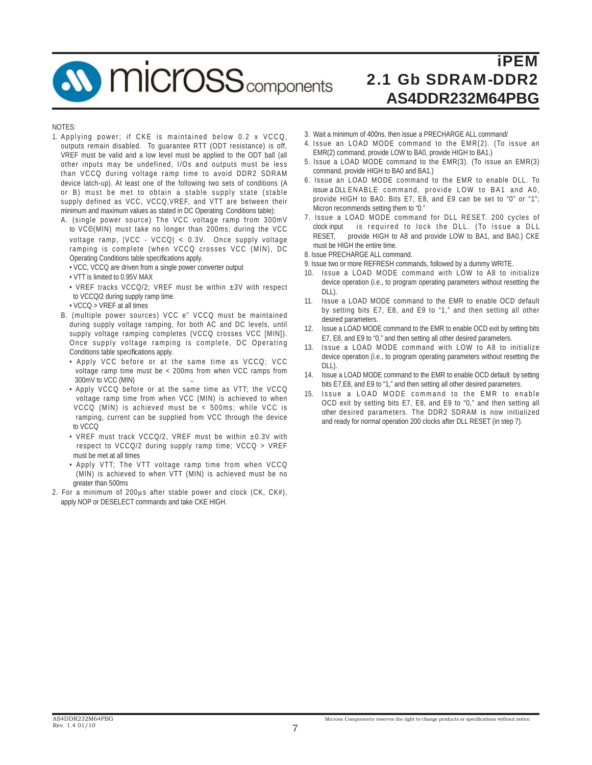**W** micross<sub>components</sub>

# iPEM 2.1 Gb SDRAM-DDR2 **AS4DDR232M64PBG**

#### NOTES:

- 1. Applying power; if CKE is maintained below 0.2 x VCCQ, outputs remain disabled. To guarantee RTT (ODT resistance) is off, VREF must be valid and a low level must be applied to the ODT ball (all other inputs may be undefined, I/Os and outputs must be less than VCCQ during voltage ramp time to avoid DDR2 SDRAM device latch-up). At least one of the following two sets of conditions (A or B) must be met to obtain a stable supply state (stable supply defined as VCC, VCCQ,VREF, and VTT are between their minimum and maximum values as stated in DC Operating Conditions table):
	- A. (single power source) The VCC voltage ramp from 300mV to VCC(MIN) must take no longer than 200ms; during the VCC voltage ramp, |VCC - VCCQ| < 0.3V. Once supply voltage ramping is complete (when VCCQ crosses VCC (MIN), DC Operating Conditions table specifications apply.
		- VCC, VCCQ are driven from a single power converter output
		- VTT is limited to 0.95V MAX
		- VREF tracks VCCQ/2; VREF must be within ±3V with respect to VCCQ/2 during supply ramp time.
		- VCCQ > VREF at all times
	- B. (multiple power sources) VCC e" VCCQ must be maintained during supply voltage ramping, for both AC and DC levels, until supply voltage ramping completes (VCCQ crosses VCC [MIN]). Once supply voltage ramping is complete, DC Operating Conditions table specifications apply.
		- Apply VCC before or at the same time as VCCQ; VCC voltage ramp time must be < 200ms from when VCC ramps from 300mV to VCC (MIN)
		- Apply VCCQ before or at the same time as VTT; the VCCQ voltage ramp time from when VCC (MIN) is achieved to when VCCQ (MIN) is achieved must be < 500ms; while VCC is ramping, current can be supplied from VCC through the device to VCCQ
		- VREF must track VCCQ/2, VREF must be within ±0.3V with respect to VCCQ/2 during supply ramp time; VCCQ > VREF must be met at all times
		- Apply VTT; The VTT voltage ramp time from when VCCQ (MIN) is achieved to when VTT (MIN) is achieved must be no greater than 500ms
- 2. For a minimum of 200μs after stable power and clock (CK, CK#), apply NOP or DESELECT commands and take CKE HIGH.
- 3. Wait a minimum of 400ns, then issue a PRECHARGE ALL command/
- 4. Issue an LOAD MODE command to the EMR(2). (To issue an EMR(2) command, provide LOW to BA0, provide HIGH to BA1.)
- 5. Issue a LOAD MODE command to the EMR(3). (To issue an EMR(3) command, provide HIGH to BA0 and BA1.)
- 6. Issue an LOAD MODE command to the EMR to enable DLL. To issue a DLL ENABLE command, provide LOW to BA1 and A0, provide HIGH to BA0. Bits E7, E8, and E9 can be set to "0" or "1"; Micron recommends setting them to "0."
- 7. Issue a LOAD MODE command for DLL RESET. 200 cycles of clock input is required to lock the DLL. (To issue a DLL RESET, provide HIGH to A8 and provide LOW to BA1, and BA0.) CKE must be HIGH the entire time.
- 8. Issue PRECHARGE ALL command.
- 9. Issue two or more REFRESH commands, followed by a dummy WRITE.
- 10. Issue a LOAD MODE command with LOW to A8 to initialize device operation (i.e., to program operating parameters without resetting the  $DI1$
- 11. Issue a LOAD MODE command to the EMR to enable OCD default by setting bits E7, E8, and E9 to "1," and then setting all other desired parameters.
- 12. Issue a LOAD MODE command to the EMR to enable OCD exit by setting bits E7, E8, and E9 to "0," and then setting all other desired parameters.
- 13. Issue a LOAD MODE command with LOW to A8 to initialize device operation (i.e., to program operating parameters without resetting the DLL).
- 14. Issue a LOAD MODE command to the EMR to enable OCD default by setting bits E7,E8, and E9 to "1," and then setting all other desired parameters.
- 15. Issue a LOAD MODE command to the EMR to enable OCD exit by setting bits E7, E8, and E9 to "0," and then setting all other desired parameters. The DDR2 SDRAM is now initialized and ready for normal operation 200 clocks after DLL RESET (in step 7).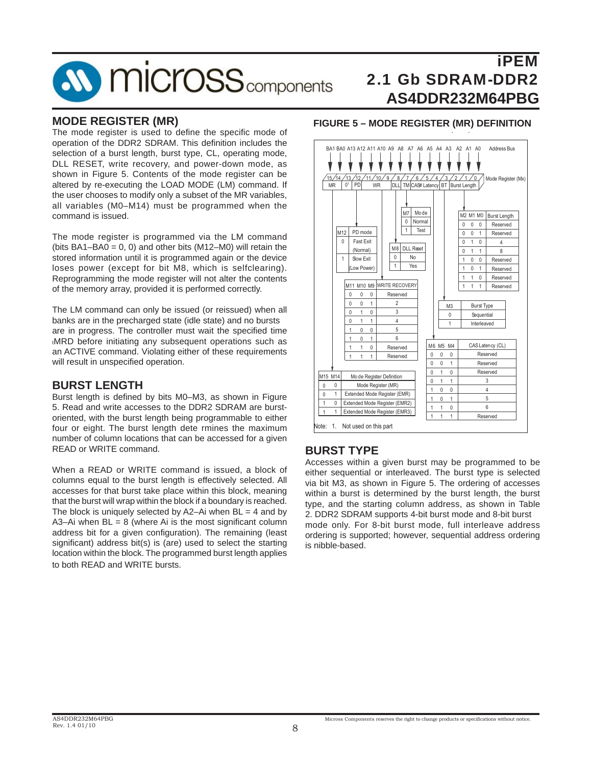

#### **MODE REGISTER (MR)**

The mode register is used to define the specific mode of operation of the DDR2 SDRAM. This definition includes the selection of a burst length, burst type, CL, operating mode, DLL RESET, write recovery, and power-down mode, as shown in Figure 5. Contents of the mode register can be altered by re-executing the LOAD MODE (LM) command. If the user chooses to modify only a subset of the MR variables, all variables (M0–M14) must be programmed when the command is issued.

The mode register is programmed via the LM command (bits  $BA1-BA0 = 0$ , 0) and other bits  $(M12-M0)$  will retain the stored information until it is programmed again or the device loses power (except for bit M8, which is selfclearing). Reprogramming the mode register will not alter the contents of the memory array, provided it is performed correctly.

The LM command can only be issued (or reissued) when all banks are in the precharged state (idle state) and no bursts are in progress. The controller must wait the specified time tMRD before initiating any subsequent operations such as an ACTIVE command. Violating either of these requirements will result in unspecified operation.

#### **BURST LENGTH**

Burst length is defined by bits M0–M3, as shown in Figure 5. Read and write accesses to the DDR2 SDRAM are burstoriented, with the burst length being programmable to either four or eight. The burst length dete rmines the maximum number of column locations that can be accessed for a given READ or WRITE command.

When a READ or WRITE command is issued, a block of columns equal to the burst length is effectively selected. All accesses for that burst take place within this block, meaning that the burst will wrap within the block if a boundary is reached. The block is uniquely selected by  $A2-Ai$  when  $BL = 4$  and by A3–Ai when  $BL = 8$  (where Ai is the most significant column address bit for a given configuration). The remaining (least significant) address bit(s) is (are) used to select the starting location within the block. The programmed burst length applies to both READ and WRITE bursts.

# **FIGURE 5 – MODE REGISTER (MR) DEFINITION ( )**



### **BURST TYPE**

Accesses within a given burst may be programmed to be either sequential or interleaved. The burst type is selected via bit M3, as shown in Figure 5. The ordering of accesses within a burst is determined by the burst length, the burst type, and the starting column address, as shown in Table 2. DDR2 SDRAM supports 4-bit burst mode and 8-bit burst mode only. For 8-bit burst mode, full interleave address ordering is supported; however, sequential address ordering is nibble-based.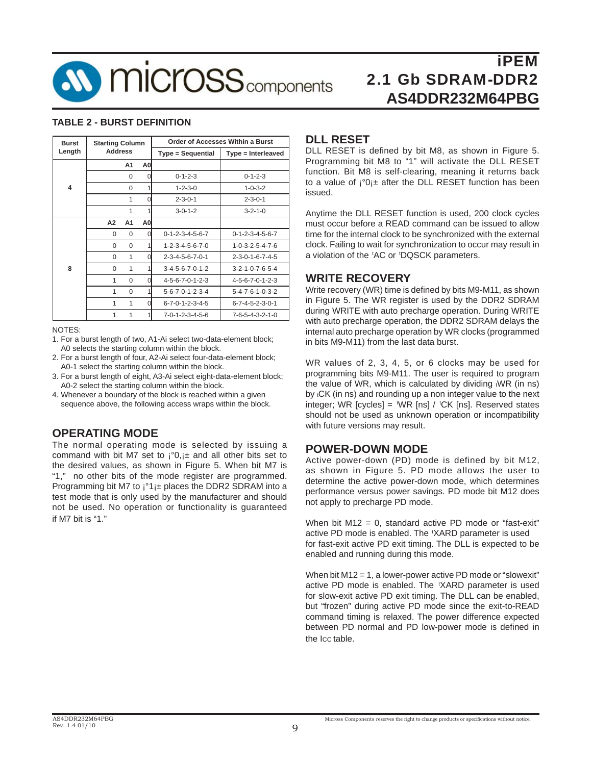

#### **TABLE 2 - BURST DEFINITION**

| <b>Burst</b>            | <b>Starting Column</b> |          |                |                                 | <b>Order of Accesses Within a Burst</b> |
|-------------------------|------------------------|----------|----------------|---------------------------------|-----------------------------------------|
| Length                  | <b>Address</b>         |          |                | Type = Sequential               | Type = Interleaved                      |
|                         |                        | A1       | A0             |                                 |                                         |
|                         |                        | 0        | 0              | $0 - 1 - 2 - 3$                 | $0 - 1 - 2 - 3$                         |
| $\overline{\mathbf{4}}$ |                        | $\Omega$ | 1              | $1 - 2 - 3 - 0$                 | $1 - 0 - 3 - 2$                         |
|                         |                        | 1        | 0              | $2 - 3 - 0 - 1$                 | $2 - 3 - 0 - 1$                         |
|                         |                        | 1        | 1              | $3 - 0 - 1 - 2$                 | $3 - 2 - 1 - 0$                         |
|                         | A2                     | A1       | A <sub>0</sub> |                                 |                                         |
|                         | $\Omega$               | $\Omega$ | O              | $0 - 1 - 2 - 3 - 4 - 5 - 6 - 7$ | $0 - 1 - 2 - 3 - 4 - 5 - 6 - 7$         |
|                         | $\Omega$               | $\Omega$ | 1              | $1 - 2 - 3 - 4 - 5 - 6 - 7 - 0$ | $1 - 0 - 3 - 2 - 5 - 4 - 7 - 6$         |
|                         | $\Omega$               | 1        | 0              | $2 - 3 - 4 - 5 - 6 - 7 - 0 - 1$ | $2 - 3 - 0 - 1 - 6 - 7 - 4 - 5$         |
| 8                       | $\Omega$               | 1        |                | $3-4-5-6-7-0-1-2$               | $3 - 2 - 1 - 0 - 7 - 6 - 5 - 4$         |
|                         | 1                      | $\Omega$ | $\Omega$       | $4 - 5 - 6 - 7 - 0 - 1 - 2 - 3$ | $4 - 5 - 6 - 7 - 0 - 1 - 2 - 3$         |
|                         | 1                      | $\Omega$ | 1              | $5 - 6 - 7 - 0 - 1 - 2 - 3 - 4$ | $5 - 4 - 7 - 6 - 1 - 0 - 3 - 2$         |
|                         | 1                      | 1        | 0              | $6 - 7 - 0 - 1 - 2 - 3 - 4 - 5$ | $6 - 7 - 4 - 5 - 2 - 3 - 0 - 1$         |
|                         | 1                      | 1        |                | $7 - 0 - 1 - 2 - 3 - 4 - 5 - 6$ | $7 - 6 - 5 - 4 - 3 - 2 - 1 - 0$         |

#### NOTES:

- 1. For a burst length of two, A1-Ai select two-data-element block; A0 selects the starting column within the block.
- 2. For a burst length of four, A2-Ai select four-data-element block; A0-1 select the starting column within the block.
- 3. For a burst length of eight, A3-Ai select eight-data-element block; A0-2 select the starting column within the block.
- 4. Whenever a boundary of the block is reached within a given sequence above, the following access wraps within the block.

#### **OPERATING MODE**

The normal operating mode is selected by issuing a command with bit M7 set to  $i^{\circ}0, i^{\pm}$  and all other bits set to the desired values, as shown in Figure 5. When bit M7 is "1," no other bits of the mode register are programmed. Programming bit M7 to ¡°1¡± places the DDR2 SDRAM into a test mode that is only used by the manufacturer and should not be used. No operation or functionality is guaranteed if M7 bit is "1."

#### **DLL RESET**

DLL RESET is defined by bit M8, as shown in Figure 5. Programming bit M8 to "1" will activate the DLL RESET function. Bit M8 is self-clearing, meaning it returns back to a value of  $i^{\circ}0_{i}$  after the DLL RESET function has been issued.

Anytime the DLL RESET function is used, 200 clock cycles must occur before a READ command can be issued to allow time for the internal clock to be synchronized with the external clock. Failing to wait for synchronization to occur may result in a violation of the 'AC or 'DQSCK parameters.

#### **WRITE RECOVERY**

Write recovery (WR) time is defined by bits M9-M11, as shown in Figure 5. The WR register is used by the DDR2 SDRAM during WRITE with auto precharge operation. During WRITE with auto precharge operation, the DDR2 SDRAM delays the internal auto precharge operation by WR clocks (programmed in bits M9-M11) from the last data burst.

WR values of 2, 3, 4, 5, or 6 clocks may be used for programming bits M9-M11. The user is required to program the value of WR, which is calculated by dividing tWR (in ns) by tCK (in ns) and rounding up a non integer value to the next integer; WR [cycles] =  $WR$  [ns] /  $CK$  [ns]. Reserved states should not be used as unknown operation or incompatibility with future versions may result.

#### **POWER-DOWN MODE**

Active power-down (PD) mode is defined by bit M12, as shown in Figure 5. PD mode allows the user to determine the active power-down mode, which determines performance versus power savings. PD mode bit M12 does not apply to precharge PD mode.

When bit M12 = 0, standard active PD mode or "fast-exit" active PD mode is enabled. The 'XARD parameter is used for fast-exit active PD exit timing. The DLL is expected to be enabled and running during this mode.

When bit M12 = 1, a lower-power active PD mode or "slowexit" active PD mode is enabled. The 'XARD parameter is used for slow-exit active PD exit timing. The DLL can be enabled, but "frozen" during active PD mode since the exit-to-READ command timing is relaxed. The power difference expected between PD normal and PD low-power mode is defined in the ICC table.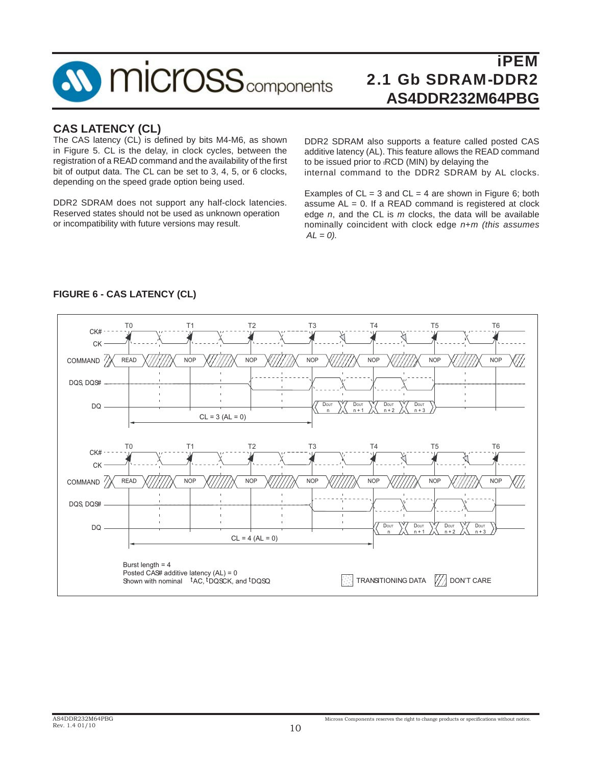

# **CAS LATENCY (CL)**

The CAS latency (CL) is defined by bits M4-M6, as shown in Figure 5. CL is the delay, in clock cycles, between the registration of a READ command and the availability of the first bit of output data. The CL can be set to 3, 4, 5, or 6 clocks, depending on the speed grade option being used.

DDR2 SDRAM does not support any half-clock latencies. Reserved states should not be used as unknown operation or incompatibility with future versions may result.

DDR2 SDRAM also supports a feature called posted CAS additive latency (AL). This feature allows the READ command to be issued prior to tRCD (MIN) by delaying the internal command to the DDR2 SDRAM by AL clocks.

Examples of  $CL = 3$  and  $CL = 4$  are shown in Figure 6; both assume  $AL = 0$ . If a READ command is registered at clock edge *n*, and the CL is *m* clocks, the data will be available nominally coincident with clock edge *n*+*m (this assumes*  $AL = 0$ ).



#### **FIGURE 6 - CAS LATENCY (CL)**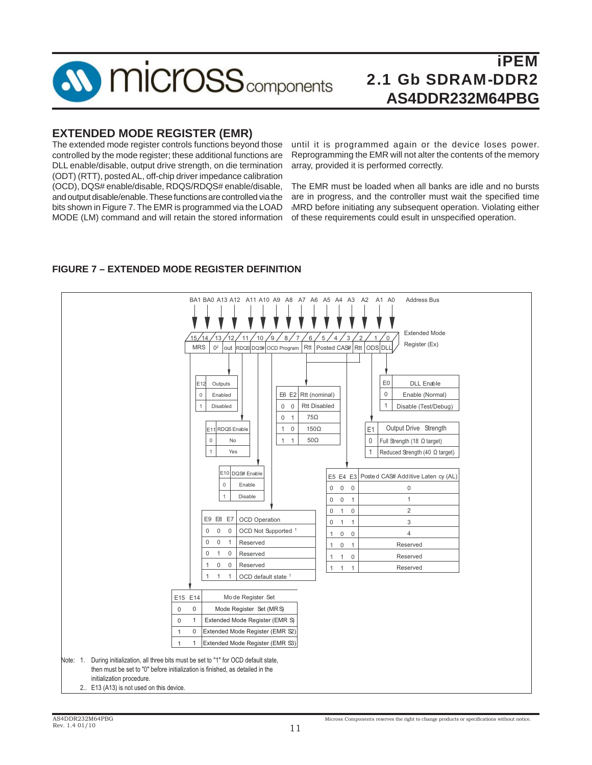

## **EXTENDED MODE REGISTER (EMR)**

The extended mode register controls functions beyond those controlled by the mode register; these additional functions are DLL enable/disable, output drive strength, on die termination (ODT) (RTT), posted AL, off-chip driver impedance calibration (OCD), DQS# enable/disable, RDQS/RDQS# enable/disable, and output disable/enable. These functions are controlled via the bits shown in Figure 7. The EMR is programmed via the LOAD MODE (LM) command and will retain the stored information

until it is programmed again or the device loses power. Reprogramming the EMR will not alter the contents of the memory array, provided it is performed correctly.

The EMR must be loaded when all banks are idle and no bursts are in progress, and the controller must wait the specified time tMRD before initiating any subsequent operation. Violating either of these requirements could esult in unspecified operation.



### **FIGURE 7 – EXTENDED MODE REGISTER DEFINITION**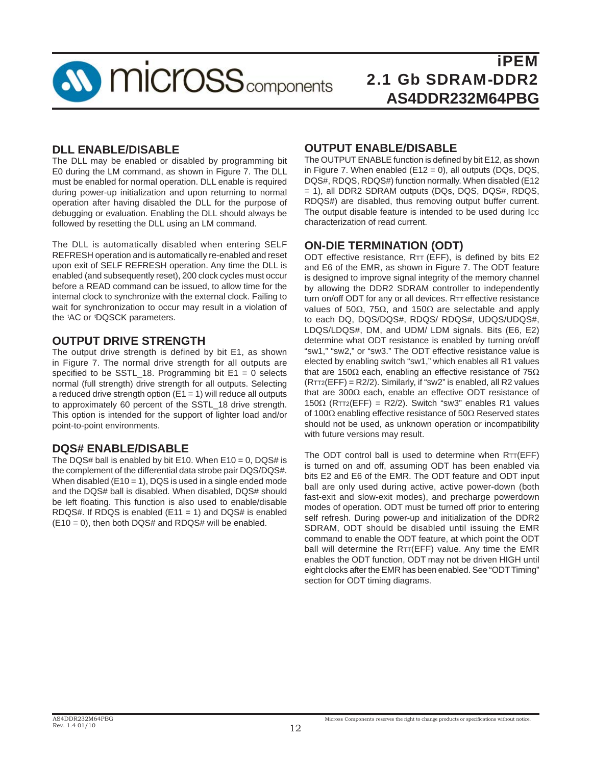

### **DLL ENABLE/DISABLE**

The DLL may be enabled or disabled by programming bit E0 during the LM command, as shown in Figure 7. The DLL must be enabled for normal operation. DLL enable is required during power-up initialization and upon returning to normal operation after having disabled the DLL for the purpose of debugging or evaluation. Enabling the DLL should always be followed by resetting the DLL using an LM command.

The DLL is automatically disabled when entering SELF REFRESH operation and is automatically re-enabled and reset upon exit of SELF REFRESH operation. Any time the DLL is enabled (and subsequently reset), 200 clock cycles must occur before a READ command can be issued, to allow time for the internal clock to synchronize with the external clock. Failing to wait for synchronization to occur may result in a violation of the 'AC or 'DQSCK parameters.

## **OUTPUT DRIVE STRENGTH**

The output drive strength is defined by bit E1, as shown in Figure 7. The normal drive strength for all outputs are specified to be SSTL 18. Programming bit  $E1 = 0$  selects normal (full strength) drive strength for all outputs. Selecting a reduced drive strength option  $(E1 = 1)$  will reduce all outputs to approximately 60 percent of the SSTL\_18 drive strength. This option is intended for the support of lighter load and/or point-to-point environments.

### **DQS# ENABLE/DISABLE**

The DQS# ball is enabled by bit E10. When  $E10 = 0$ , DQS# is the complement of the differential data strobe pair DQS/DQS#. When disabled  $(E10 = 1)$ , DQS is used in a single ended mode and the DQS# ball is disabled. When disabled, DQS# should be left floating. This function is also used to enable/disable RDQS#. If RDQS is enabled  $(E11 = 1)$  and DQS# is enabled  $(E10 = 0)$ , then both DQS# and RDQS# will be enabled.

### **OUTPUT ENABLE/DISABLE**

The OUTPUT ENABLE function is defined by bit E12, as shown in Figure 7. When enabled (E12 = 0), all outputs (DQs, DQS, DQS#, RDQS, RDQS#) function normally. When disabled (E12 = 1), all DDR2 SDRAM outputs (DQs, DQS, DQS#, RDQS, RDQS#) are disabled, thus removing output buffer current. The output disable feature is intended to be used during Icc characterization of read current.

### **ON-DIE TERMINATION (ODT)**

ODT effective resistance,  $RTT$  (EFF), is defined by bits E2 and E6 of the EMR, as shown in Figure 7. The ODT feature is designed to improve signal integrity of the memory channel by allowing the DDR2 SDRAM controller to independently turn on/off ODT for any or all devices. RTT effective resistance values of 50Ω, 75Ω, and 150Ω are selectable and apply to each DQ, DQS/DQS#, RDQS/ RDQS#, UDQS/UDQS#, LDQS/LDQS#, DM, and UDM/ LDM signals. Bits (E6, E2) determine what ODT resistance is enabled by turning on/off "sw1," "sw2," or "sw3." The ODT effective resistance value is elected by enabling switch "sw1," which enables all R1 values that are 150Ω each, enabling an effective resistance of 75Ω (RTT2(EFF) = R2/2). Similarly, if "sw2" is enabled, all R2 values that are 300Ω each, enable an effective ODT resistance of 150 $\Omega$  (RTT2(EFF) = R2/2). Switch "sw3" enables R1 values of 100Ω enabling effective resistance of 50Ω Reserved states should not be used, as unknown operation or incompatibility with future versions may result.

The ODT control ball is used to determine when RTT(EFF) is turned on and off, assuming ODT has been enabled via bits E2 and E6 of the EMR. The ODT feature and ODT input ball are only used during active, active power-down (both fast-exit and slow-exit modes), and precharge powerdown modes of operation. ODT must be turned off prior to entering self refresh. During power-up and initialization of the DDR2 SDRAM, ODT should be disabled until issuing the EMR command to enable the ODT feature, at which point the ODT ball will determine the RTT(EFF) value. Any time the EMR enables the ODT function, ODT may not be driven HIGH until eight clocks after the EMR has been enabled. See "ODT Timing" section for ODT timing diagrams.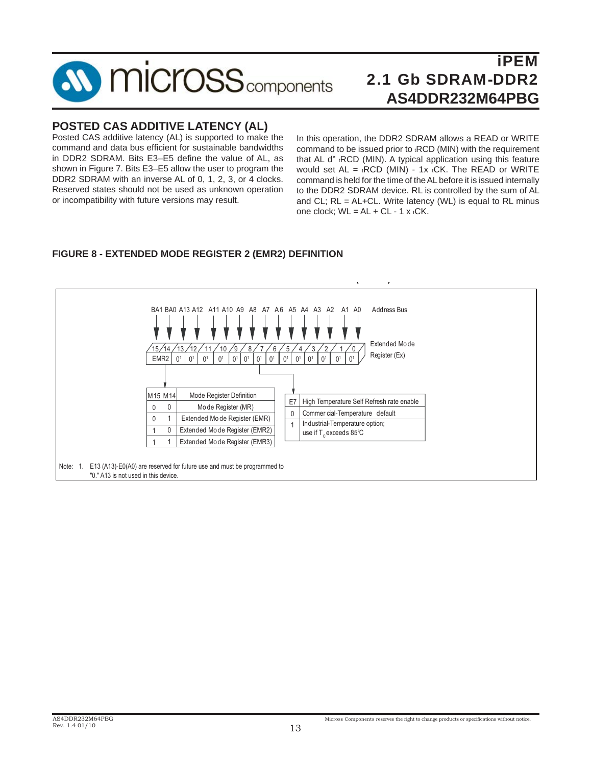

# **POSTED CAS ADDITIVE LATENCY (AL)**

Posted CAS additive latency (AL) is supported to make the command and data bus efficient for sustainable bandwidths in DDR2 SDRAM. Bits E3–E5 define the value of AL, as shown in Figure 7. Bits E3–E5 allow the user to program the DDR2 SDRAM with an inverse AL of 0, 1, 2, 3, or 4 clocks. Reserved states should not be used as unknown operation or incompatibility with future versions may result.

In this operation, the DDR2 SDRAM allows a READ or WRITE command to be issued prior to tRCD (MIN) with the requirement that AL d" <sub>t</sub>RCD (MIN). A typical application using this feature would set  $AL = tRCD$  (MIN) - 1x  $tCK$ . The READ or WRITE command is held for the time of the AL before it is issued internally to the DDR2 SDRAM device. RL is controlled by the sum of AL and CL;  $RL = AL+CL$ . Write latency (WL) is equal to RL minus one clock;  $WL = AL + CL - 1 x tCK$ .

#### BA1 BA0 A13 A12 A11 A10 A9 A8 A7 A6 A5 A4 A3 A2 A1 A0 Address Bus Register (Ex) <u>13/12/11/10/9/8/7/6/5/4/3/2/1/0</u>  $0<sup>1</sup>$  $^{'}$ 15,  $\Omega$ 1 0 1 Mode Register Definition 0 0 1 1 EMR2 | 0<sup>1</sup> | 0<sup>1</sup> | 0<sup>1</sup> | 0<sup>1</sup> | 0<sup>1</sup> | 0<sup>1</sup> | 0<sup>1</sup> | 0<sup>1</sup> | 0<sup>1</sup> | 0<sup>1</sup> | 0<sup>1</sup> | 0<sup>1</sup> | 0<sup>1</sup> | 0<sup>1</sup> Commer cial-Temperature default use if T $_{\rm c}$ exceeds 85°C E7 0 1 Extended Mo de Mo de Register (MR) Extended Mo de Register (EMR) Extended Mo de Register (EMR2) Extended Mo de Register (EMR3) M15 M14 High Temperature Self Refresh rate enable Industrial-Temperature option; Note: 1. E13 (A13)-E0(A0) are reserved for future use and must be programmed to "0." A13 is not used in this device.

#### **FIGURE 8 - EXTENDED MODE REGISTER 2 (EMR2) DEFINITION**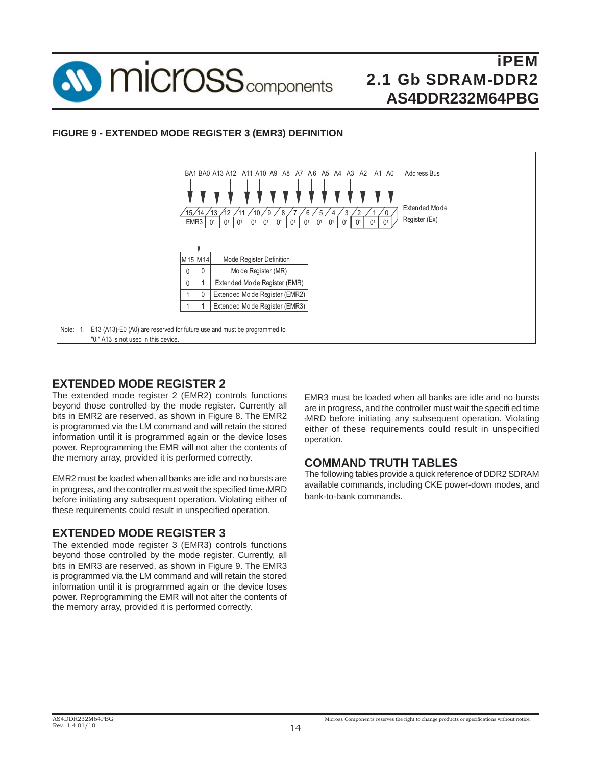

### **FIGURE 9 - EXTENDED MODE REGISTER 3 (EMR3) DEFINITION**



# **EXTENDED MODE REGISTER 2**

The extended mode register 2 (EMR2) controls functions beyond those controlled by the mode register. Currently all bits in EMR2 are reserved, as shown in Figure 8. The EMR2 is programmed via the LM command and will retain the stored information until it is programmed again or the device loses power. Reprogramming the EMR will not alter the contents of the memory array, provided it is performed correctly.

EMR2 must be loaded when all banks are idle and no bursts are in progress, and the controller must wait the specified time tMRD before initiating any subsequent operation. Violating either of these requirements could result in unspecified operation.

### **EXTENDED MODE REGISTER 3**

The extended mode register 3 (EMR3) controls functions beyond those controlled by the mode register. Currently, all bits in EMR3 are reserved, as shown in Figure 9. The EMR3 is programmed via the LM command and will retain the stored information until it is programmed again or the device loses power. Reprogramming the EMR will not alter the contents of the memory array, provided it is performed correctly.

EMR3 must be loaded when all banks are idle and no bursts are in progress, and the controller must wait the specifi ed time tMRD before initiating any subsequent operation. Violating either of these requirements could result in unspecified operation.

### **COMMAND TRUTH TABLES**

The following tables provide a quick reference of DDR2 SDRAM available commands, including CKE power-down modes, and bank-to-bank commands.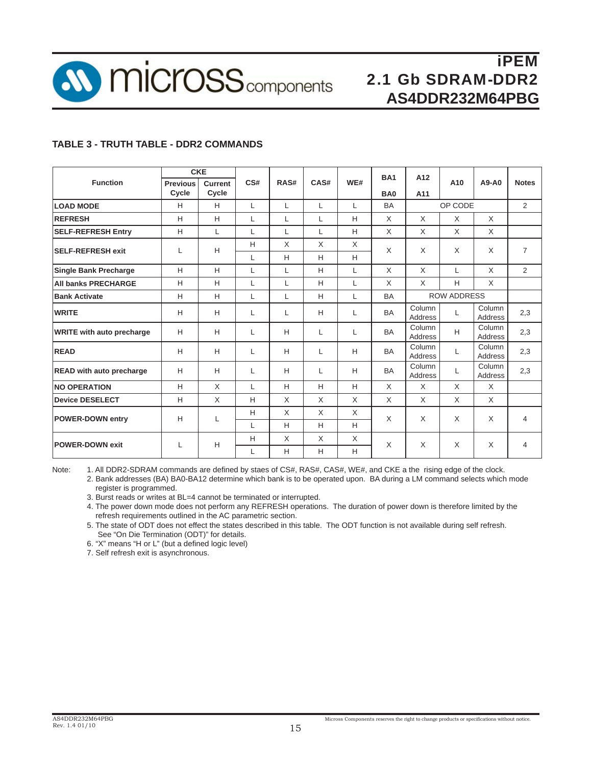

#### **TABLE 3 - TRUTH TABLE - DDR2 COMMANDS**

|                                  |                          | <b>CKE</b>       |     |      |      |     | <b>BA1</b>      | A12                |     |                   |                |
|----------------------------------|--------------------------|------------------|-----|------|------|-----|-----------------|--------------------|-----|-------------------|----------------|
| <b>Function</b>                  | <b>Previous</b><br>Cycle | Current<br>Cycle | CS# | RAS# | CAS# | WE# |                 |                    | A10 | A9-A0             | <b>Notes</b>   |
|                                  |                          |                  |     |      |      |     | BA <sub>0</sub> | A11                |     |                   |                |
| <b>LOAD MODE</b>                 | H                        | H                | L   | L    | L    | L   | <b>BA</b>       | OP CODE            |     | $\overline{2}$    |                |
| <b>REFRESH</b>                   | H                        | H                | L   | L    | L    | H   | X               | X                  | X   | X                 |                |
| <b>SELF-REFRESH Entry</b>        | Н                        | L                | L   | L    | L    | H   | X               | X                  | X   | $\times$          |                |
| <b>SELF-REFRESH exit</b>         | L                        | H                | Н   | X    | X    | X   | X               | X                  | X   | X                 | $\overline{7}$ |
|                                  |                          |                  | L   | н    | н    | H   |                 |                    |     |                   |                |
| <b>Single Bank Precharge</b>     | H                        | H                | L   | L    | H    | L   | X               | X                  | L   | X                 | 2              |
| <b>All banks PRECHARGE</b>       | H                        | Н                | L   | L    | Н    | L   | X               | $\mathsf{X}$       | H.  | X                 |                |
| <b>Bank Activate</b>             | H                        | H                | L   | L    | H    | L   | <b>BA</b>       | <b>ROW ADDRESS</b> |     |                   |                |
| <b>WRITE</b>                     | H                        | н                | L   | L    | H    | L   | <b>BA</b>       | Column<br>Address  |     | Column<br>Address | 2,3            |
| <b>WRITE with auto precharge</b> | H                        | н                | L   | H    | L    | L   | <b>BA</b>       | Column<br>Address  | H   | Column<br>Address | 2,3            |
| <b>READ</b>                      | H                        | H                | L   | H    | L    | H   | <b>BA</b>       | Column<br>Address  | L   | Column<br>Address | 2,3            |
| <b>READ with auto precharge</b>  | H                        | н                | L   | H    | L    | H   | <b>BA</b>       | Column<br>Address  | L   | Column<br>Address | 2,3            |
| <b>NO OPERATION</b>              | H                        | $\mathsf{X}$     | L   | H    | H    | H   | X               | X                  | X   | X                 |                |
| <b>Device DESELECT</b>           | H                        | X                | H   | X    | X    | X   | X               | X                  | X   | X                 |                |
| <b>POWER-DOWN entry</b>          | H                        | L                | H   | X    | X    | X   | X               | X                  |     |                   |                |
|                                  |                          |                  | L   | H    | H    | H   |                 |                    | X   | X                 | 4              |
|                                  | L                        |                  | н   | X    | X    | X   | X               | X                  | X   | X                 | 4              |
| <b>POWER-DOWN exit</b>           |                          | H                | L   | H    | н    | H   |                 |                    |     |                   |                |

Note: 1. All DDR2-SDRAM commands are defined by staes of CS#, RAS#, CAS#, WE#, and CKE a the rising edge of the clock.

 2. Bank addresses (BA) BA0-BA12 determine which bank is to be operated upon. BA during a LM command selects which mode register is programmed.

3. Burst reads or writes at BL=4 cannot be terminated or interrupted.

 4. The power down mode does not perform any REFRESH operations. The duration of power down is therefore limited by the refresh requirements outlined in the AC parametric section.

 5. The state of ODT does not effect the states described in this table. The ODT function is not available during self refresh. See "On Die Termination (ODT)" for details.

6. "X" means "H or L" (but a defined logic level)

7. Self refresh exit is asynchronous.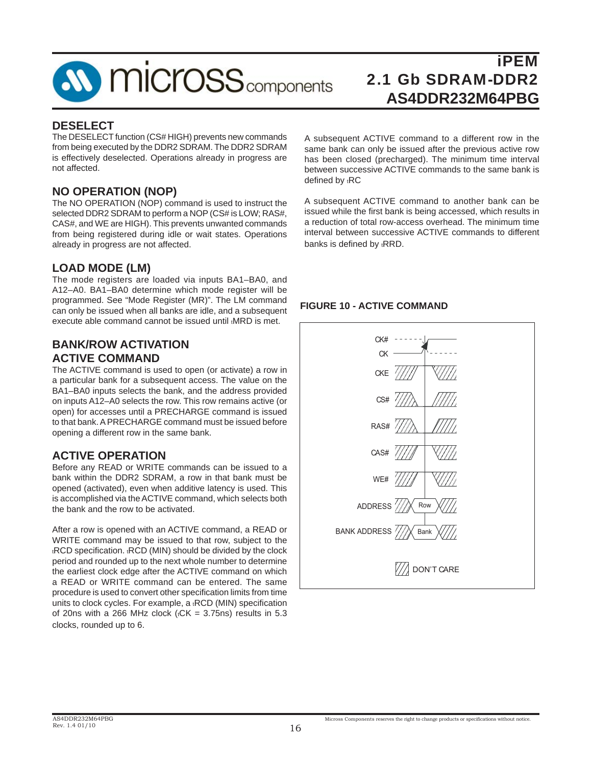

### **DESELECT**

The DESELECT function (CS# HIGH) prevents new commands from being executed by the DDR2 SDRAM. The DDR2 SDRAM is effectively deselected. Operations already in progress are not affected.

# **NO OPERATION (NOP)**

The NO OPERATION (NOP) command is used to instruct the selected DDR2 SDRAM to perform a NOP (CS# is LOW; RAS#, CAS#, and WE are HIGH). This prevents unwanted commands from being registered during idle or wait states. Operations already in progress are not affected.

# **LOAD MODE (LM)**

The mode registers are loaded via inputs BA1–BA0, and A12–A0. BA1–BA0 determine which mode register will be programmed. See "Mode Register (MR)". The LM command can only be issued when all banks are idle, and a subsequent execute able command cannot be issued until tMRD is met.

### **BANK/ROW ACTIVATION ACTIVE COMMAND**

The ACTIVE command is used to open (or activate) a row in a particular bank for a subsequent access. The value on the BA1–BA0 inputs selects the bank, and the address provided on inputs A12–A0 selects the row. This row remains active (or open) for accesses until a PRECHARGE command is issued to that bank. A PRECHARGE command must be issued before opening a different row in the same bank.

# **ACTIVE OPERATION**

Before any READ or WRITE commands can be issued to a bank within the DDR2 SDRAM, a row in that bank must be opened (activated), even when additive latency is used. This is accomplished via the ACTIVE command, which selects both the bank and the row to be activated.

After a row is opened with an ACTIVE command, a READ or WRITE command may be issued to that row, subject to the tRCD specification. tRCD (MIN) should be divided by the clock period and rounded up to the next whole number to determine the earliest clock edge after the ACTIVE command on which a READ or WRITE command can be entered. The same procedure is used to convert other specification limits from time units to clock cycles. For example, a <sub>t</sub>RCD (MIN) specification of 20ns with a 266 MHz clock ( $t$ CK = 3.75ns) results in 5.3 clocks, rounded up to 6.

A subsequent ACTIVE command to a different row in the same bank can only be issued after the previous active row has been closed (precharged). The minimum time interval between successive ACTIVE commands to the same bank is defined by tRC

A subsequent ACTIVE command to another bank can be issued while the first bank is being accessed, which results in a reduction of total row-access overhead. The minimum time interval between successive ACTIVE commands to different banks is defined by tRRD.

#### **FIGURE 10 - ACTIVE COMMAND**

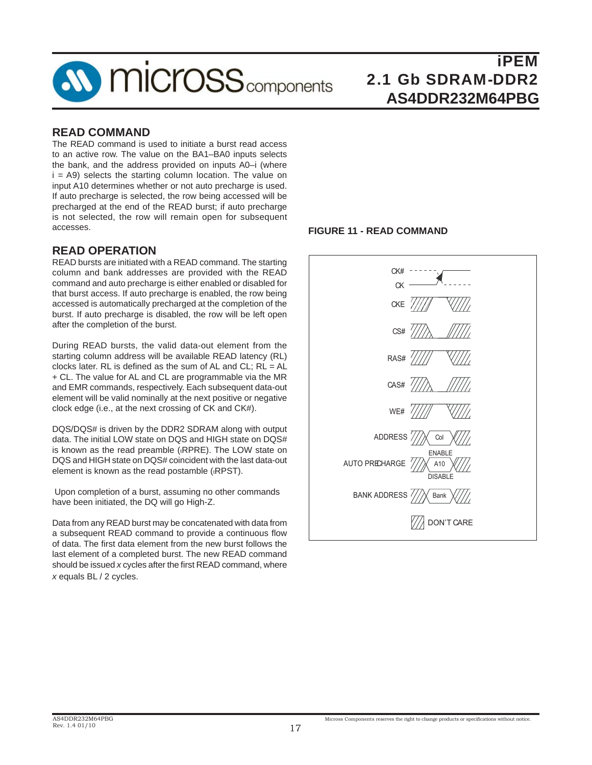

## **READ COMMAND**

The READ command is used to initiate a burst read access to an active row. The value on the BA1–BA0 inputs selects the bank, and the address provided on inputs A0–i (where  $i = A9$ ) selects the starting column location. The value on input A10 determines whether or not auto precharge is used. If auto precharge is selected, the row being accessed will be precharged at the end of the READ burst; if auto precharge is not selected, the row will remain open for subsequent accesses.

# **READ OPERATION**

READ bursts are initiated with a READ command. The starting column and bank addresses are provided with the READ command and auto precharge is either enabled or disabled for that burst access. If auto precharge is enabled, the row being accessed is automatically precharged at the completion of the burst. If auto precharge is disabled, the row will be left open after the completion of the burst.

During READ bursts, the valid data-out element from the starting column address will be available READ latency (RL) clocks later. RL is defined as the sum of AL and CL;  $RL = AL$ + CL. The value for AL and CL are programmable via the MR and EMR commands, respectively. Each subsequent data-out element will be valid nominally at the next positive or negative clock edge (i.e., at the next crossing of CK and CK#).

DQS/DQS# is driven by the DDR2 SDRAM along with output data. The initial LOW state on DQS and HIGH state on DQS# is known as the read preamble (<sub>tRPRE</sub>). The LOW state on DQS and HIGH state on DQS# coincident with the last data-out element is known as the read postamble (tRPST).

 Upon completion of a burst, assuming no other commands have been initiated, the DQ will go High-Z.

Data from any READ burst may be concatenated with data from a subsequent READ command to provide a continuous flow of data. The first data element from the new burst follows the last element of a completed burst. The new READ command should be issued *x* cycles after the first READ command, where *x* equals BL / 2 cycles.

#### **FIGURE 11 - READ COMMAND**

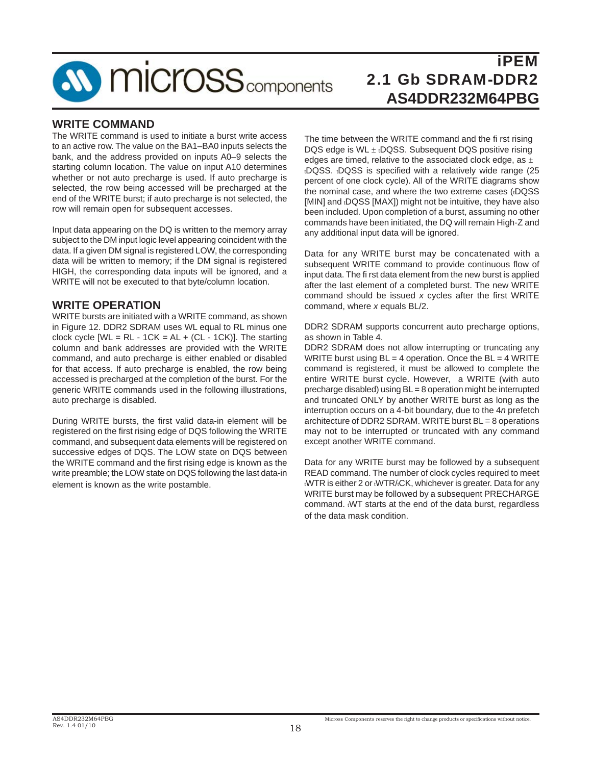

## **WRITE COMMAND**

The WRITE command is used to initiate a burst write access to an active row. The value on the BA1–BA0 inputs selects the bank, and the address provided on inputs A0–9 selects the starting column location. The value on input A10 determines whether or not auto precharge is used. If auto precharge is selected, the row being accessed will be precharged at the end of the WRITE burst; if auto precharge is not selected, the row will remain open for subsequent accesses.

Input data appearing on the DQ is written to the memory array subject to the DM input logic level appearing coincident with the data. If a given DM signal is registered LOW, the corresponding data will be written to memory; if the DM signal is registered HIGH, the corresponding data inputs will be ignored, and a WRITE will not be executed to that byte/column location.

### **WRITE OPERATION**

WRITE bursts are initiated with a WRITE command, as shown in Figure 12. DDR2 SDRAM uses WL equal to RL minus one clock cycle  $[WL = RL - 1CK = AL + (CL - 1CK)]$ . The starting column and bank addresses are provided with the WRITE command, and auto precharge is either enabled or disabled for that access. If auto precharge is enabled, the row being accessed is precharged at the completion of the burst. For the generic WRITE commands used in the following illustrations, auto precharge is disabled.

During WRITE bursts, the first valid data-in element will be registered on the first rising edge of DQS following the WRITE command, and subsequent data elements will be registered on successive edges of DQS. The LOW state on DQS between the WRITE command and the first rising edge is known as the write preamble; the LOW state on DQS following the last data-in element is known as the write postamble.

The time between the WRITE command and the fi rst rising DQS edge is  $WL \pm tDQSS$ . Subsequent DQS positive rising edges are timed, relative to the associated clock edge, as  $\pm$ tDQSS. tDQSS is specified with a relatively wide range (25 percent of one clock cycle). All of the WRITE diagrams show the nominal case, and where the two extreme cases (tDQSS [MIN] and tDQSS [MAX]) might not be intuitive, they have also been included. Upon completion of a burst, assuming no other commands have been initiated, the DQ will remain High-Z and any additional input data will be ignored.

Data for any WRITE burst may be concatenated with a subsequent WRITE command to provide continuous flow of input data. The fi rst data element from the new burst is applied after the last element of a completed burst. The new WRITE command should be issued x cycles after the first WRITE command, where *x* equals BL/2.

DDR2 SDRAM supports concurrent auto precharge options, as shown in Table 4.

DDR2 SDRAM does not allow interrupting or truncating any WRITE burst using  $BL = 4$  operation. Once the  $BL = 4$  WRITE command is registered, it must be allowed to complete the entire WRITE burst cycle. However, a WRITE (with auto precharge disabled) using BL = 8 operation might be interrupted and truncated ONLY by another WRITE burst as long as the interruption occurs on a 4-bit boundary, due to the 4*n* prefetch architecture of DDR2 SDRAM. WRITE burst BL = 8 operations may not to be interrupted or truncated with any command except another WRITE command.

Data for any WRITE burst may be followed by a subsequent READ command. The number of clock cycles required to meet tWTR is either 2 or tWTR/tCK, whichever is greater. Data for any WRITE burst may be followed by a subsequent PRECHARGE command. tWT starts at the end of the data burst, regardless of the data mask condition.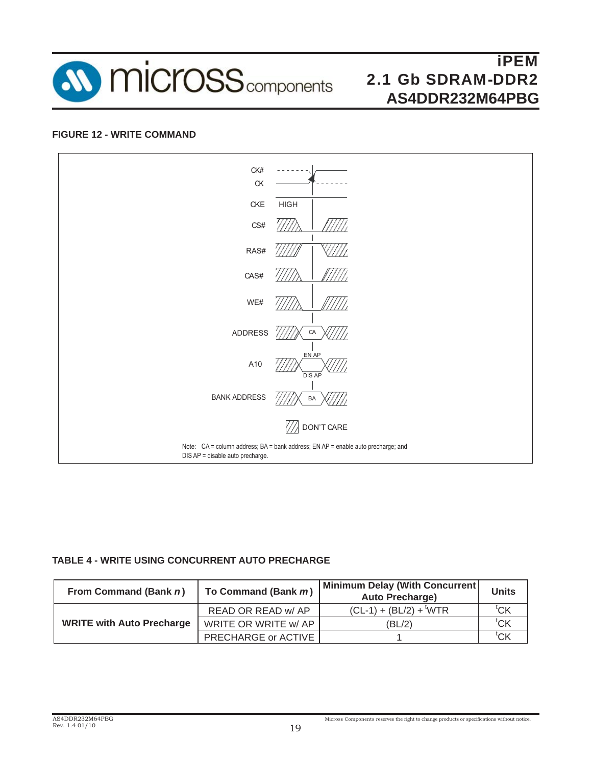

#### **FIGURE 12 - WRITE COMMAND**



#### **TABLE 4 - WRITE USING CONCURRENT AUTO PRECHARGE**

| From Command (Bank n)            | To Command (Bank m)        | <b>Minimum Delay (With Concurrent)</b><br><b>Auto Precharge)</b> | <b>Units</b>         |
|----------------------------------|----------------------------|------------------------------------------------------------------|----------------------|
|                                  | READ OR READ w/ AP         | $(CL-1) + (BL/2) +$ <sup>t</sup> WTR                             | ${}^{\mathrm{t}}$ CK |
| <b>WRITE with Auto Precharge</b> | WRITE OR WRITE w/ AP       | (BL/2)                                                           | $^{\text{t}}$ CK     |
|                                  | <b>PRECHARGE or ACTIVE</b> |                                                                  | <sup>τ</sup> CΚ      |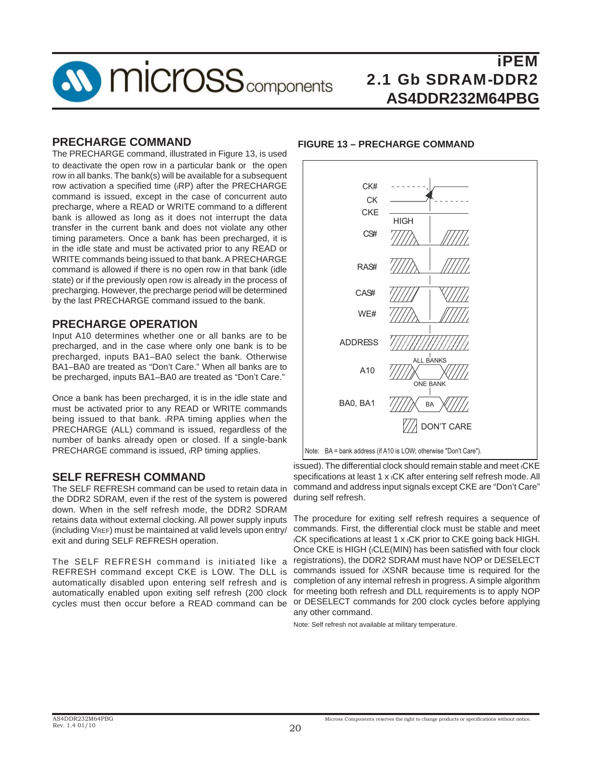

#### **PRECHARGE COMMAND**

The PRECHARGE command, illustrated in Figure 13, is used to deactivate the open row in a particular bank or the open row in all banks. The bank(s) will be available for a subsequent row activation a specified time (tRP) after the PRECHARGE command is issued, except in the case of concurrent auto precharge, where a READ or WRITE command to a different bank is allowed as long as it does not interrupt the data transfer in the current bank and does not violate any other timing parameters. Once a bank has been precharged, it is in the idle state and must be activated prior to any READ or WRITE commands being issued to that bank. A PRECHARGE command is allowed if there is no open row in that bank (idle state) or if the previously open row is already in the process of precharging. However, the precharge period will be determined by the last PRECHARGE command issued to the bank.

#### **PRECHARGE OPERATION**

Input A10 determines whether one or all banks are to be precharged, and in the case where only one bank is to be precharged, inputs BA1–BA0 select the bank. Otherwise BA1–BA0 are treated as "Don't Care." When all banks are to be precharged, inputs BA1–BA0 are treated as "Don't Care."

Once a bank has been precharged, it is in the idle state and must be activated prior to any READ or WRITE commands being issued to that bank. <sub>t</sub>RPA timing applies when the PRECHARGE (ALL) command is issued, regardless of the number of banks already open or closed. If a single-bank PRECHARGE command is issued, tRP timing applies.

### **SELF REFRESH COMMAND**

The SELF REFRESH command can be used to retain data in the DDR2 SDRAM, even if the rest of the system is powered down. When in the self refresh mode, the DDR2 SDRAM retains data without external clocking. All power supply inputs (including VREF) must be maintained at valid levels upon entry/ exit and during SELF REFRESH operation.

The SELF REFRESH command is initiated like a REFRESH command except CKE is LOW. The DLL is automatically disabled upon entering self refresh and is automatically enabled upon exiting self refresh (200 clock

#### **FIGURE 13 – PRECHARGE COMMAND**



issued). The differential clock should remain stable and meet tCKE specifications at least 1 x tCK after entering self refresh mode. All command and address input signals except CKE are "Don't Care" during self refresh.

cycles must then occur before a READ command can be or DESELECT commands for 200 clock cycles before applying The procedure for exiting self refresh requires a sequence of commands. First, the differential clock must be stable and meet tCK specifications at least 1 x tCK prior to CKE going back HIGH. Once CKE is HIGH ((CLE(MIN) has been satisfied with four clock registrations), the DDR2 SDRAM must have NOP or DESELECT commands issued for tXSNR because time is required for the completion of any internal refresh in progress. A simple algorithm for meeting both refresh and DLL requirements is to apply NOP any other command.

Note: Self refresh not available at military temperature.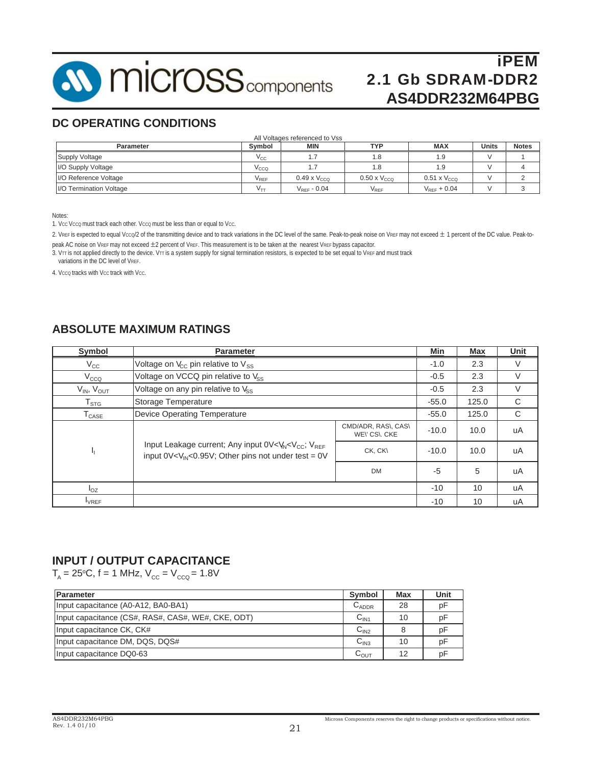

# **DC OPERATING CONDITIONS**

| <b>Parameter</b>        | Svmbol                     | <b>MIN</b>            | TYP                         | <b>MAX</b>            | <b>Units</b> | <b>Notes</b> |
|-------------------------|----------------------------|-----------------------|-----------------------------|-----------------------|--------------|--------------|
| Supply Voltage          | $V_{\rm CC}$               |                       | 1.8                         | 1.9                   |              |              |
| I/O Supply Voltage      | $V_{\rm CCQ}$              |                       | 1.8                         | 1.9                   |              |              |
| I/O Reference Voltage   | $V_{REF}$                  | $0.49 \times V_{CCO}$ | $0.50 \times V_{CCO}$       | $0.51 \times V_{CCO}$ |              |              |
| I/O Termination Voltage | $\mathsf{V}_{\mathsf{TT}}$ | $V_{REF}$ - 0.04      | $\mathsf{V}_{\mathsf{REF}}$ | $V_{RFF}$ + 0.04      |              |              |

Notes:

1. Vcc Vcco must track each other. Vcco must be less than or equal to Vcc.

2. VREF is expected to equal Vcco/2 of the transmitting device and to track variations in the DC level of the same. Peak-to-peak noise on VREF may not exceed ± 1 percent of the DC value. Peak-topeak AC noise on VREF may not exceed ±2 percent of VREF. This measurement is to be taken at the nearest VREF bypass capacitor.

3. VTT is not applied directly to the device. VTT is a system supply for signal termination resistors, is expected to be set equal to VREF and must track variations in the DC level of VREF.

4. Vcco tracks with Vcc track with Vcc.

# **ABSOLUTE MAXIMUM RATINGS**

| Symbol                       | <b>Parameter</b>                                                                                                                                                        |                                     | Min     | Max  | Unit |
|------------------------------|-------------------------------------------------------------------------------------------------------------------------------------------------------------------------|-------------------------------------|---------|------|------|
| $V_{\rm CC}$                 | Voltage on $V_{\rm cc}$ pin relative to $V_{\rm ss}$                                                                                                                    |                                     | $-1.0$  | 2.3  | V    |
| V <sub>CCQ</sub>             | Voltage on VCCQ pin relative to Vss                                                                                                                                     | $-0.5$                              | 2.3     | V    |      |
| $V_{IN}$ , $V_{OUT}$         | Voltage on any pin relative to $V_{SS}$                                                                                                                                 | $-0.5$                              | 2.3     | V    |      |
| $\mathsf{T}_{\texttt{STG}}$  | Storage Temperature                                                                                                                                                     | $-55.0$                             | 125.0   | C    |      |
| $\mathsf{T}_{\mathsf{CASE}}$ | <b>Device Operating Temperature</b>                                                                                                                                     | $-55.0$                             | 125.0   | C    |      |
|                              |                                                                                                                                                                         | CMD/ADR, RAS\, CAS\<br>WEY CSY, CKE | $-10.0$ | 10.0 | uA   |
| 4                            | Input Leakage current; Any input 0V <v<sub>N<v<sub>CC; V<sub>RFF</sub><br/>input <math>0V &lt; V_{IN} &lt; 0.95V</math>; Other pins not under test = 0V</v<sub></v<sub> | CK, CK\                             | $-10.0$ | 10.0 | uA   |
|                              |                                                                                                                                                                         | <b>DM</b>                           | $-5$    | 5    | uA   |
| $I_{OZ}$                     |                                                                                                                                                                         | $-10$                               | 10      | uA   |      |
| $I_{VREF}$                   |                                                                                                                                                                         |                                     | $-10$   | 10   | uA   |

#### **INPUT / OUTPUT CAPACITANCE**

 $T_{\text{\tiny A}}$  = 25°C, f = 1 MHz,  $\text{V}_{\text{cc}}$  =  $\text{V}_{\text{ccQ}}$  = 1.8V

| <b>Parameter</b>                                   | <b>Symbol</b>      | Max | Unit |
|----------------------------------------------------|--------------------|-----|------|
| Input capacitance (A0-A12, BA0-BA1)                | $C_{ADDR}$         | 28  | рF   |
| Input capacitance (CS#, RAS#, CAS#, WE#, CKE, ODT) | C <sub>IN1</sub>   | 10  | рF   |
| Input capacitance CK, CK#                          | C <sub>IN2</sub>   |     | рF   |
| Input capacitance DM, DQS, DQS#                    | C <sub>IN3</sub>   | 10  | рF   |
| Input capacitance DQ0-63                           | $\mathtt{C_{OUT}}$ | 12  | рF   |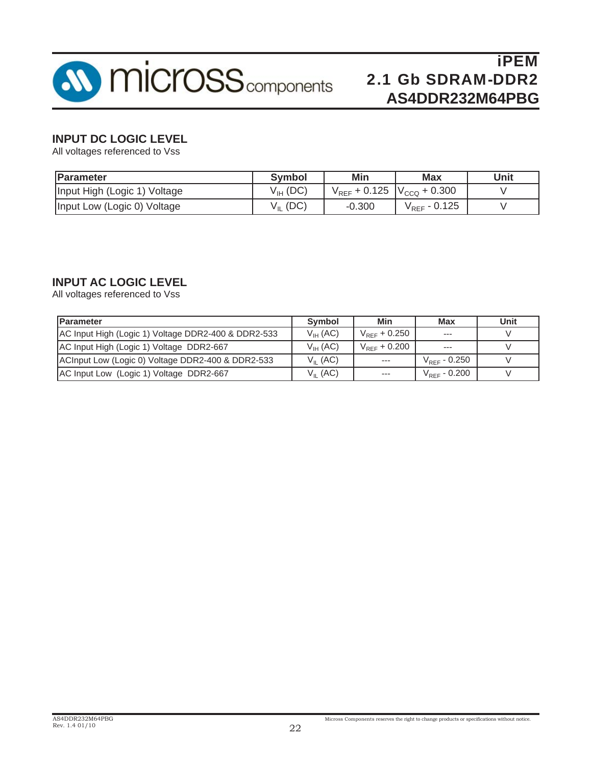

# **INPUT DC LOGIC LEVEL**

All voltages referenced to Vss

| <b>IParameter</b>            | <b>Symbol</b> | <b>Min</b>                          | <b>Max</b>                 | Unit |
|------------------------------|---------------|-------------------------------------|----------------------------|------|
| Input High (Logic 1) Voltage | $V_{IH}$ (DC) | $V_{REF}$ + 0.125 $V_{CCQ}$ + 0.300 |                            |      |
| Input Low (Logic 0) Voltage  | $V_{IL}$ (DC) | $-0.300$                            | $\rm V_{\rm{REF}}$ - 0.125 |      |

# **INPUT AC LOGIC LEVEL**

All voltages referenced to Vss

| <b>Parameter</b>                                    | <b>Symbol</b>        | Min               | Max                      | Unit |
|-----------------------------------------------------|----------------------|-------------------|--------------------------|------|
| AC Input High (Logic 1) Voltage DDR2-400 & DDR2-533 | $V_{IH}$ (AC)        | $V_{REF}$ + 0.250 | $---$                    |      |
| AC Input High (Logic 1) Voltage DDR2-667            | $V_{\text{III}}(AC)$ | $V_{RFF}$ + 0.200 | $- - -$                  |      |
| ACInput Low (Logic 0) Voltage DDR2-400 & DDR2-533   | $V_{II}$ (AC)        | $- - -$           | $V_{\text{REF}}$ - 0.250 |      |
| AC Input Low (Logic 1) Voltage DDR2-667             | $V_{II}$ (AC)        | $---$             | $V_{\text{REF}}$ - 0.200 |      |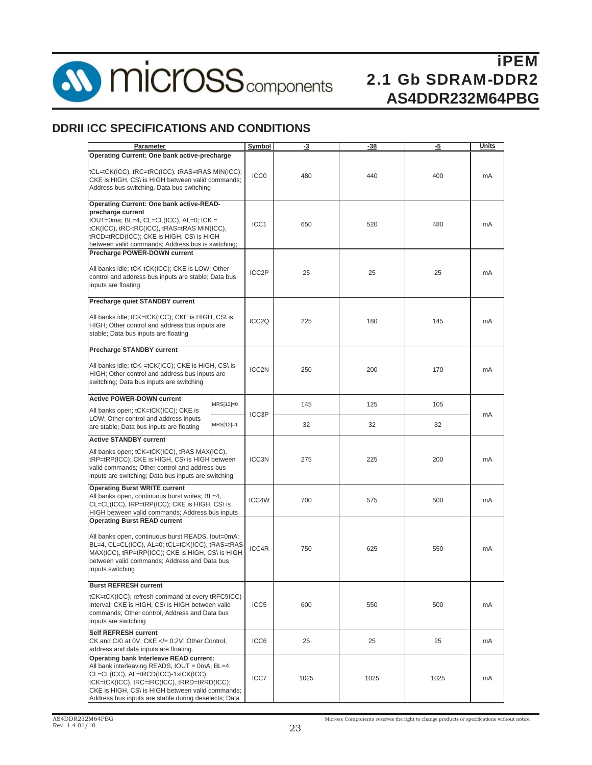

**SV MICroSS** components

# iPEM 2.1 Gb SDRAM-DDR2 **AS4DDR232M64PBG**

# **DDRII ICC SPECIFICATIONS AND CONDITIONS**

| Parameter                                                                                                                                                                                                                                                                                    | Symbol            | -3                 | -38  | -5   | Units |    |
|----------------------------------------------------------------------------------------------------------------------------------------------------------------------------------------------------------------------------------------------------------------------------------------------|-------------------|--------------------|------|------|-------|----|
| Operating Current: One bank active-precharge                                                                                                                                                                                                                                                 |                   |                    |      |      |       |    |
| tCL=tCK(ICC), tRC=tRC(ICC), tRAS=tRAS MIN(ICC);<br>CKE is HIGH, CS\ is HIGH between valid commands;<br>Address bus switching, Data bus switching                                                                                                                                             |                   | ICC <sub>0</sub>   | 480  | 440  | 400   | mA |
| <b>Operating Current: One bank active-READ-</b><br>precharge current<br>IOUT=0ma; BL=4, CL=CL(ICC), AL=0; tCK =<br>tCK(ICC), tRC-tRC(ICC), tRAS=tRAS MIN(ICC),<br>tRCD=tRCD(ICC); CKE is HIGH, CS\ is HIGH<br>between valid commands; Address bus is switching;                              |                   | ICC <sub>1</sub>   | 650  | 520  | 480   | mA |
| Precharge POWER-DOWN current<br>All banks idle; tCK-tCK(ICC); CKE is LOW; Other<br>control and address bus inputs are stable; Data bus<br>inputs are floating                                                                                                                                |                   | ICC <sub>2</sub> P | 25   | 25   | 25    | mA |
| Precharge quiet STANDBY current                                                                                                                                                                                                                                                              |                   |                    |      |      |       |    |
| All banks idle; tCK=tCK(ICC); CKE is HIGH, CS\ is<br>HIGH; Other control and address bus inputs are<br>stable; Data bus inputs are floating                                                                                                                                                  |                   | ICC <sub>2Q</sub>  | 225  | 180  | 145   | mA |
| <b>Precharge STANDBY current</b>                                                                                                                                                                                                                                                             |                   |                    |      |      |       |    |
| All banks idle; tCK-=tCK(ICC); CKE is HIGH, CS\ is<br>HIGH; Other control and address bus inputs are<br>switching; Data bus inputs are switching                                                                                                                                             | ICC <sub>2N</sub> | 250                | 200  | 170  | mA    |    |
| <b>Active POWER-DOWN current</b>                                                                                                                                                                                                                                                             | MRS[12]=0         |                    | 145  | 125  | 105   |    |
| All banks open; tCK=tCK(ICC); CKE is<br>LOW; Other control and address inputs<br>are stable; Data bus inputs are floating                                                                                                                                                                    | MRS[12]=1         | ICC3P              | 32   | 32   | 32    | mA |
| <b>Active STANDBY current</b>                                                                                                                                                                                                                                                                |                   |                    |      |      |       |    |
| All banks open; tCK=tCK(ICC), tRAS MAX(ICC),<br>tRP=tRP(ICC); CKE is HIGH, CS\ is HIGH between<br>valid commands; Other control and address bus<br>inputs are switching; Data bus inputs are switching                                                                                       |                   | ICC <sub>3N</sub>  | 275  | 225  | 200   | mA |
| <b>Operating Burst WRITE current</b><br>All banks open, continuous burst writes; BL=4,<br>CL=CL(ICC), tRP=tRP(ICC); CKE is HIGH, CS\ is<br>HIGH between valid commands; Address bus inputs                                                                                                   |                   | ICC4W              | 700  | 575  | 500   | mA |
| <b>Operating Burst READ current</b><br>All banks open, continuous burst READS, lout=0mA;<br>BL=4, CL=CL(ICC), AL=0; tCL=tCK(ICC), tRAS=tRAS<br>MAX(ICC), tRP=tRP(ICC); CKE is HIGH, CS\ is HIGH<br>between valid commands; Address and Data bus<br>inputs switching                          |                   | ICC4R              | 750  | 625  | 550   | mA |
| <b>Burst REFRESH current</b>                                                                                                                                                                                                                                                                 |                   |                    |      |      |       |    |
| tCK=tCK(ICC); refresh command at every tRFC9ICC)<br>interval; CKE is HIGH, CS\ is HIGH between valid<br>commands: Other control. Address and Data bus<br>inputs are switching                                                                                                                | ICC <sub>5</sub>  | 600                | 550  | 500  | mA    |    |
| Self REFRESH current<br>CK and CK\ at 0V; CKE = 0.2V; Other Control,<br address and data inputs are floating.                                                                                                                                                                                | ICC6              | 25                 | 25   | 25   | mA    |    |
| Operating bank Interleave READ current:<br>All bank interleaving READS, IOUT = 0mA; BL=4,<br>CL=CL(ICC), AL=tRCD(ICC)-1xtCK(ICC);<br>tCK=tCK(ICC), tRC=tRC(ICC), tRRD=tRRD(ICC);<br>CKE is HIGH, CS\ is HIGH between valid commands;<br>Address bus inputs are stable during deselects; Data |                   | ICC7               | 1025 | 1025 | 1025  | mA |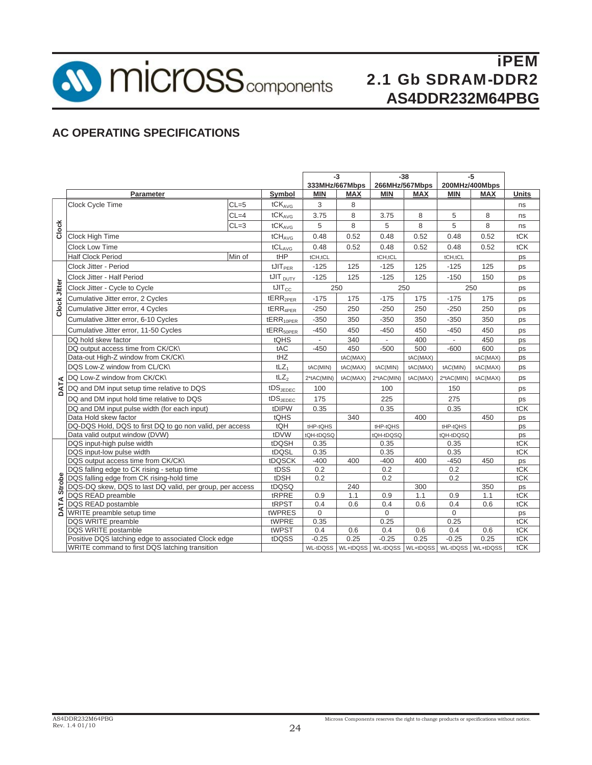**SV MICroSS** components

iPEM 2.1 Gb SDRAM-DDR2 **AS4DDR232M64PBG**

# **AC OPERATING SPECIFICATIONS**

|                |                                                          |          |                               | $-3$           |            | $-38$                                                 |          | $-5$                     |            |              |
|----------------|----------------------------------------------------------|----------|-------------------------------|----------------|------------|-------------------------------------------------------|----------|--------------------------|------------|--------------|
|                |                                                          |          |                               | 333MHz/667Mbps |            | 266MHz/567Mbps                                        |          | 200MHz/400Mbps           |            |              |
|                | Parameter                                                |          | Symbol                        | <b>MIN</b>     | <b>MAX</b> | <b>MIN</b>                                            | MAX      | <b>MIN</b>               | <b>MAX</b> | <b>Units</b> |
| Clock          | Clock Cycle Time                                         | $CL = 5$ | tCK <sub>AVG</sub>            | 3              | 8          |                                                       |          |                          |            | ns           |
|                |                                                          | $CL=4$   | tCKAVG                        | 3.75           | 8          | 3.75                                                  | 8        | 5                        | 8          | ns           |
|                |                                                          | $CL = 3$ | tCK <sub>AVG</sub>            | 5              | 8          | 5                                                     | 8        | 5                        | 8          | ns           |
|                | <b>Clock High Time</b>                                   |          | $tCH_{AVG}$                   | 0.48           | 0.52       | 0.48                                                  | 0.52     | 0.48                     | 0.52       | tCK          |
|                | <b>Clock Low Time</b>                                    |          | tCL <sub>AVG</sub>            | 0.48           | 0.52       | 0.48                                                  | 0.52     | 0.48                     | 0.52       | tCK          |
|                | <b>Half Clock Period</b>                                 | Min of   | tHP                           | tCH,tCL        |            | tCH,tCL                                               |          | tCH,tCL                  |            | ps           |
| Clock Jitter   | Clock Jitter - Period                                    |          | $t$ JI $T_{PER}$              | $-125$         | 125        | $-125$                                                | 125      | $-125$                   | 125        | ps           |
|                | Clock Jitter - Half Period                               |          | tJIT <sub>DUTY</sub>          | $-125$         | 125        | $-125$                                                | 125      | $-150$                   | 150        | ps           |
|                | Clock Jitter - Cycle to Cycle                            |          | $t$ JI $T_{CC}$               | 250            |            | 250                                                   |          |                          | 250        | ps           |
|                | Cumulative Jitter error, 2 Cycles                        |          | tERR <sub>2PER</sub>          | $-175$         | 175        | $-175$                                                | 175      | $-175$                   | 175        | ps           |
|                | Cumulative Jitter error, 4 Cycles                        |          | $tERR_{4PER}$                 | $-250$         | 250        | $-250$                                                | 250      | $-250$                   | 250        | ps           |
|                | Cumulative Jitter error, 6-10 Cycles                     |          | tERR <sub>10PER</sub>         | $-350$         | 350        | $-350$                                                | 350      | $-350$                   | 350        | ps           |
|                | Cumulative Jitter error, 11-50 Cycles                    |          | $tERR_{50PER}$                | $-450$         | 450        | $-450$                                                | 450      | $-450$                   | 450        | ps           |
|                | DQ hold skew factor                                      |          | tQHS                          | ÷.             | 340        | $\mathcal{L}_{\mathcal{A}}$                           | 400      | $\overline{\phantom{a}}$ | 450        | ps           |
|                | DQ output access time from CK/CK\                        |          | tAC                           | $-450$         | 450        | $-500$                                                | 500      | $-600$                   | 600        | ps           |
|                | Data-out High-Z window from CK/CK\                       |          | tHZ                           |                | tAC(MAX)   |                                                       | tAC(MAX) |                          | tAC(MAX)   | ps           |
|                | DQS Low-Z window from CL/CK\                             |          | $tLZ_1$                       | tAC(MIN)       | tAC(MAX)   | tAC(MIN)                                              | tAC(MAX) | tAC(MIN)                 | tAC(MAX)   | ps           |
|                | DQ Low-Z window from CK/CK\                              |          | tLZ <sub>2</sub>              | 2*tAC(MIN)     | tAC(MAX)   | 2*tAC(MIN)                                            | tAC(MAX) | 2*tAC(MIN)               | tAC(MAX)   | ps           |
| DATA           | DQ and DM input setup time relative to DQS               |          | $\mathsf{tDS}_\mathsf{JEDEC}$ | 100            |            | 100                                                   |          | 150                      |            | ps           |
|                | DQ and DM input hold time relative to DQS                |          | $tDS$ J $E$ DEC               | 175            |            | 225                                                   |          | 275                      |            | ps           |
|                | DQ and DM input pulse width (for each input)             |          | tDIPW                         | 0.35           |            | 0.35                                                  |          | 0.35                     |            | tCK          |
|                | Data Hold skew factor                                    |          | tQHS                          |                | 340        |                                                       | 400      |                          | 450        | ps           |
|                | DQ-DQS Hold, DQS to first DQ to go non valid, per access |          | tQH                           | tHP-tQHS       |            | tHP-tQHS                                              |          | tHP-tQHS                 |            | ps           |
|                | Data valid output window (DVW)                           |          | tDVW                          | tQH-tDQSQ      |            | tQH-tDQSQ                                             |          | tQH-tDQSQ                |            | ps           |
|                | DQS input-high pulse width                               |          | tDQSH                         | 0.35           |            | 0.35                                                  |          | 0.35                     |            | tCK          |
|                | DQS input-low pulse width                                |          | tDQSL                         | 0.35           |            | 0.35                                                  |          | 0.35                     |            | tCK          |
|                | DQS output access time from CK/CK\                       |          | tDQSCK                        | $-400$         | 400        | $-400$                                                | 400      | $-450$                   | 450        | ps           |
| Strobe<br>DATA | DQS falling edge to CK rising - setup time               |          | tDSS                          | 0.2            |            | 0.2                                                   |          | 0.2                      |            | tCK          |
|                | DQS falling edge from CK rising-hold time                |          | tDSH                          | 0.2            |            | 0.2                                                   |          | 0.2                      |            | tCK          |
|                | DQS-DQ skew, DQS to last DQ valid, per group, per access |          | tDQSQ                         |                | 240        |                                                       | 300      |                          | 350        | ps           |
|                | DQS READ preamble                                        |          | tRPRE                         | 0.9            | 1.1        | 0.9                                                   | 1.1      | 0.9                      | 1.1        | tCK          |
|                | DQS READ postamble                                       |          | tRPST                         | 0.4            | 0.6        | 0.4                                                   | 0.6      | 0.4                      | 0.6        | tCK          |
|                | WRITE preamble setup time                                |          | tWPRES                        | $\Omega$       |            | $\Omega$                                              |          | $\Omega$                 |            | ps           |
|                | DQS WRITE preamble                                       |          | tWPRE                         | 0.35           |            | 0.25                                                  |          | 0.25                     |            | tCK          |
|                | DQS WRITE postamble                                      |          | tWPST                         | 0.4            | 0.6        | 0.4                                                   | 0.6      | 0.4                      | 0.6        | tCK          |
|                | Positive DQS latching edge to associated Clock edge      |          | tDQSS                         | $-0.25$        | 0.25       | $-0.25$                                               | 0.25     | $-0.25$                  | 0.25       | tCK          |
|                | WRITE command to first DQS latching transition           |          |                               |                |            | WL-tDQSS WL+tDQSS WL-tDQSS WL+tDQSS WL-tDQSS WL+tDQSS |          |                          |            | tCK          |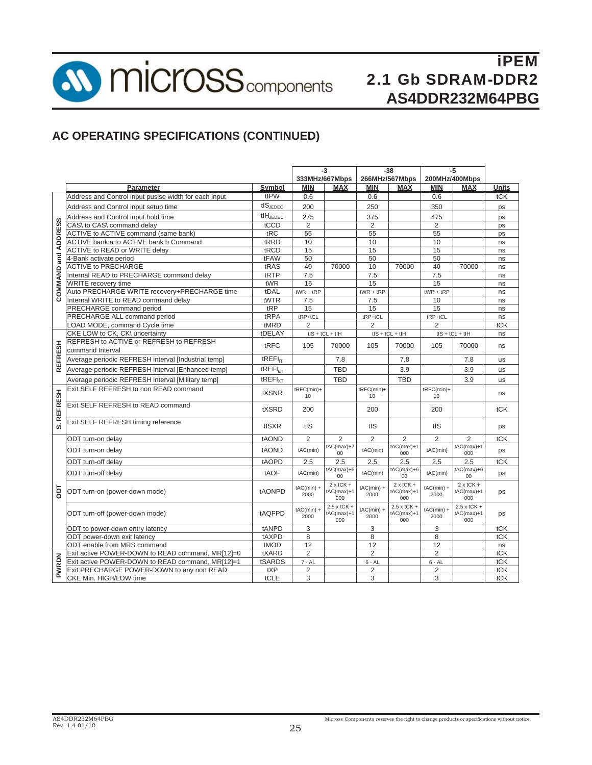**SV MICroSS** components

# iPEM 2.1 Gb SDRAM-DDR2 **AS4DDR232M64PBG**

# **AC OPERATING SPECIFICATIONS (CONTINUED)**

|                |                                                                    |                     | -3<br>333MHz/667Mbps |                                    | $-38$<br>266MHz/567Mbps |                                    | -5<br>200MHz/400Mbps |                                    |              |
|----------------|--------------------------------------------------------------------|---------------------|----------------------|------------------------------------|-------------------------|------------------------------------|----------------------|------------------------------------|--------------|
|                |                                                                    |                     | <b>MIN</b>           |                                    | <b>MIN</b>              |                                    | <b>MIN</b>           | <b>MAX</b>                         | <b>Units</b> |
|                | Parameter<br>Address and Control input pusise width for each input | Symbol<br>tIPW      | 0.6                  | <b>MAX</b>                         | 0.6                     | <b>MAX</b>                         | 0.6                  |                                    | tCK          |
|                |                                                                    | $tIS_{JEDEC}$       |                      |                                    |                         |                                    |                      |                                    |              |
|                | Address and Control input setup time                               |                     | 200                  |                                    | 250                     |                                    | 350                  |                                    | ps           |
|                | Address and Control input hold time                                | $tH_{\text{JEDEC}}$ | 275                  |                                    | 375                     |                                    | 475                  |                                    | ps           |
|                | CAS\ to CAS\ command delay                                         | tCCD                | $\overline{2}$       |                                    | $\overline{2}$          |                                    | $\overline{2}$       |                                    | ps           |
| <b>ADDRESS</b> | ACTIVE to ACTIVE command (same bank)                               | tRC                 | 55                   |                                    | 55                      |                                    | 55                   |                                    | ps           |
|                | ACTIVE bank a to ACTIVE bank b Command                             | tRRD                | 10                   |                                    | 10                      |                                    | 10                   |                                    | ns           |
|                | ACTIVE to READ or WRITE delay                                      | tRCD                | 15                   |                                    | 15                      |                                    | 15                   |                                    | ns           |
| and            | 4-Bank activate period                                             | tFAW                | 50                   |                                    | 50                      |                                    | 50                   |                                    | ns           |
|                | <b>ACTIVE to PRECHARGE</b>                                         | tRAS                | 40                   | 70000                              | 10                      | 70000                              | 40                   | 70000                              | ns           |
| COMMAND        | Internal READ to PRECHARGE command delay                           | tRTP                | 7.5                  |                                    | 7.5                     |                                    | 7.5                  |                                    | ns           |
|                | WRITE recovery time                                                | tWR                 | 15                   |                                    | 15                      |                                    | 15                   |                                    | ns           |
|                | Auto PRECHARGE WRITE recovery+PRECHARGE time                       | tDAL                | $tWR + tRP$          |                                    | $tWR + tRP$             |                                    | $tWR + tRP$          |                                    | ns           |
|                | Internal WRITE to READ command delay                               | tWTR                | 7.5                  |                                    | 7.5                     |                                    | 10                   |                                    | ns           |
|                | PRECHARGE command period                                           | tRP                 | 15                   |                                    | 15                      |                                    | 15                   |                                    | ns           |
|                | PRECHARGE ALL command period                                       | tRPA                | $tRP+tCL$            |                                    | $tRP+tCL$               |                                    | $tRP+tCL$            |                                    | ns           |
|                | LOAD MODE, command Cycle time                                      | tMRD                | $\overline{2}$       |                                    | $\overline{2}$          |                                    | $\overline{2}$       |                                    | tCK          |
|                | CKE LOW to CK, CK\ uncertainty                                     | tDELAY              |                      | $tIS + tCL + tIH$                  |                         | $tIS + tCL + tIH$                  |                      | $tIS + tCL + tIH$                  | ns           |
|                | REFRESH to ACTIVE or REFRESH to REFRESH                            | tRFC                | 105                  | 70000                              | 105                     | 70000                              | 105                  | 70000                              | ns           |
| <b>REFRESH</b> | command Interval                                                   |                     |                      |                                    |                         |                                    |                      |                                    |              |
|                | Average periodic REFRESH interval [Industrial temp]                | tREFI <sub>IT</sub> |                      | 7.8                                |                         | 7.8                                |                      | 7.8                                | us           |
|                | Average periodic REFRESH interval [Enhanced temp]                  | $tREFI_{FT}$        |                      | <b>TBD</b>                         |                         | 3.9                                |                      | 3.9                                | us           |
|                | Average periodic REFRESH interval [Military temp]                  | tREFI <sub>XT</sub> |                      | <b>TBD</b>                         |                         | <b>TBD</b>                         |                      | 3.9                                | <b>us</b>    |
| <b>REFRESH</b> | Exit SELF REFRESH to non READ command                              | tXSNR               | tRFC(min)+           |                                    | $tRFC(min)+$            |                                    | tRFC(min)+           |                                    | ns           |
|                |                                                                    |                     | 10                   |                                    | 10                      |                                    | 10                   |                                    |              |
|                | Exit SELF REFRESH to READ command                                  | tXSRD               | 200                  |                                    | 200                     |                                    | 200                  |                                    | tCK          |
|                |                                                                    |                     |                      |                                    |                         |                                    |                      |                                    |              |
| <b>vi</b>      | Exit SELF REFRESH timing reference                                 | tISXR               | tIS                  |                                    | tIS                     |                                    | tIS                  |                                    | ps           |
|                | ODT turn-on delay                                                  | tAOND               | $\overline{2}$       | $\overline{2}$                     | $\overline{2}$          | $\overline{2}$                     | $\overline{2}$       | $\overline{2}$                     | tCK          |
|                |                                                                    |                     |                      | $tAC(max)+7$                       |                         | $tAC(max)+1$                       |                      | $tAC(max)+1$                       |              |
|                | ODT turn-on delay                                                  | tAOND               | tAC(min)             | 00                                 | tAC(min)                | 000                                | tAC(min)             | 000                                | ps           |
|                | ODT turn-off delay                                                 | tAOPD               | 2.5                  | 2.5                                | 2.5                     | 2.5                                | 2.5                  | 2.5                                | tCK          |
|                | ODT turn-off delay                                                 | tAOF                | tAC(min)             | $tAC(max)+6$<br>00                 | tAC(min)                | $tAC(max)+6$<br>00                 | tAC(min)             | $tAC(max)+6$<br>00                 | ps           |
| ā              | ODT turn-on (power-down mode)                                      | tAONPD              | $tAC(min) +$         | $2 \times tCK +$<br>$tAC(max)+1$   | $tAC(min) +$            | $2x$ tCK +<br>$tAC(max)+1$         | $tAC(min) +$         | $2 \times tCK +$<br>$tAC(max)+1$   | ps           |
|                |                                                                    |                     | 2000                 | 000                                | 2000                    | 000                                | 2000                 | 000                                |              |
|                | ODT turn-off (power-down mode)                                     | tAQFPD              | $tAC(min) +$         | $2.5 \times tCK +$<br>$tAC(max)+1$ | $tAC(min) +$            | $2.5 \times tCK +$<br>$tAC(max)+1$ | $tAC(min) +$         | $2.5 \times tCK +$<br>$tAC(max)+1$ | ps           |
|                |                                                                    |                     | 2000                 | 000                                | 2000                    | 000                                | 2000                 | 000                                |              |
|                | ODT to power-down entry latency                                    | tANPD               | 3                    |                                    | 3                       |                                    | 3                    |                                    | tCK          |
|                | ODT power-down exit latency                                        | tAXPD               | 8                    |                                    | 8                       |                                    | 8                    |                                    | tCK          |
|                | ODT enable from MRS command                                        | tMOD                | 12                   |                                    | 12                      |                                    | 12                   |                                    | ns           |
|                | Exit active POWER-DOWN to READ command, MR[12]=0                   | tXARD               | $\overline{2}$       |                                    | $\overline{2}$          |                                    | $\overline{2}$       |                                    | tCK          |
| <b>PWRDN</b>   | Exit active POWER-DOWN to READ command, MR[12]=1                   | tSARDS              | $7 - AL$             |                                    | $6 - AL$                |                                    | $6 - AL$             |                                    | tCK          |
|                | Exit PRECHARGE POWER-DOWN to any non READ                          | tXP                 | $\overline{2}$       |                                    | $\overline{2}$          |                                    | $\overline{2}$       |                                    | tCK          |
|                | CKE Min. HIGH/LOW time                                             | tCLE                | 3                    |                                    | 3                       |                                    | 3                    |                                    | tCK          |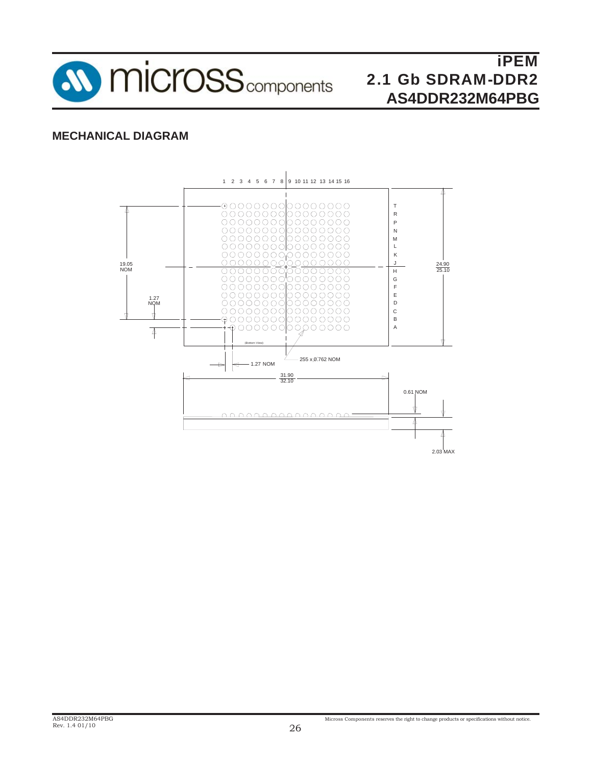

# **MECHANICAL DIAGRAM**

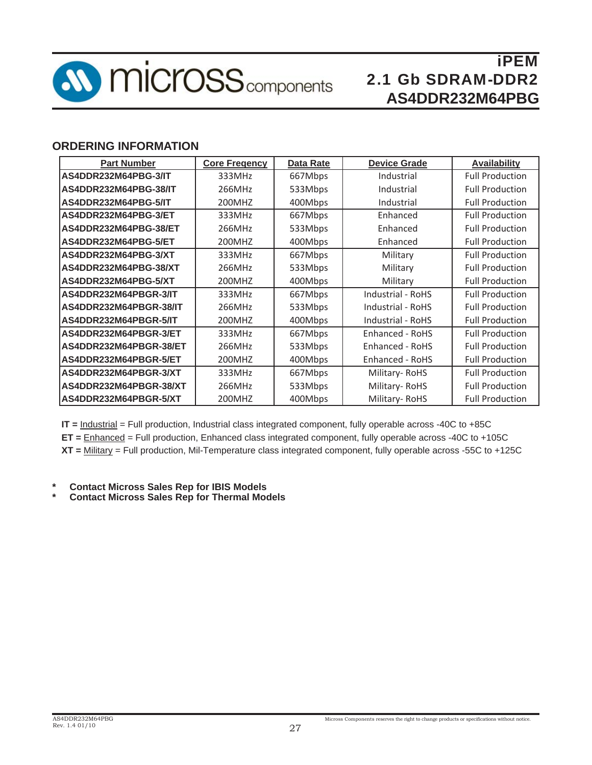

# **ORDERING INFORMATION**

| <b>Part Number</b>     | <b>Core Fregency</b> | <b>Data Rate</b> | <b>Device Grade</b>      | <b>Availability</b>    |  |
|------------------------|----------------------|------------------|--------------------------|------------------------|--|
| AS4DDR232M64PBG-3/IT   | 333MHz               | 667Mbps          | Industrial               | <b>Full Production</b> |  |
| AS4DDR232M64PBG-38/IT  | 266MHz               | 533Mbps          | Industrial               | <b>Full Production</b> |  |
| AS4DDR232M64PBG-5/IT   | 200MHZ               | 400Mbps          | Industrial               | <b>Full Production</b> |  |
| AS4DDR232M64PBG-3/ET   | 333MHz               | 667Mbps          | Enhanced                 | <b>Full Production</b> |  |
| AS4DDR232M64PBG-38/ET  | 266MHz               | 533Mbps          | Enhanced                 | <b>Full Production</b> |  |
| AS4DDR232M64PBG-5/ET   | 200MHZ               | 400Mbps          | Enhanced                 | <b>Full Production</b> |  |
| AS4DDR232M64PBG-3/XT   | 333MHz               | 667Mbps          | Military                 | <b>Full Production</b> |  |
| AS4DDR232M64PBG-38/XT  | 266MHz               | 533Mbps          | Military                 | <b>Full Production</b> |  |
| AS4DDR232M64PBG-5/XT   | 200MHZ               | 400Mbps          | Military                 | <b>Full Production</b> |  |
| AS4DDR232M64PBGR-3/IT  | 333MHz               | 667Mbps          | <b>Industrial - RoHS</b> | <b>Full Production</b> |  |
| AS4DDR232M64PBGR-38/IT | 266MHz               | 533Mbps          | Industrial - RoHS        | <b>Full Production</b> |  |
| AS4DDR232M64PBGR-5/IT  | 200MHZ               | 400Mbps          | Industrial - RoHS        | <b>Full Production</b> |  |
| AS4DDR232M64PBGR-3/ET  | 333MHz               | 667Mbps          | Enhanced - RoHS          | <b>Full Production</b> |  |
| AS4DDR232M64PBGR-38/ET | 266MHz               | 533Mbps          | Enhanced - RoHS          | <b>Full Production</b> |  |
| AS4DDR232M64PBGR-5/ET  | 200MHZ               | 400Mbps          | Enhanced - RoHS          | <b>Full Production</b> |  |
| AS4DDR232M64PBGR-3/XT  | 333MHz               | 667Mbps          | Military-RoHS            | <b>Full Production</b> |  |
| AS4DDR232M64PBGR-38/XT | 266MHz               | 533Mbps          | Military-RoHS            | <b>Full Production</b> |  |
| AS4DDR232M64PBGR-5/XT  | 200MHZ               | 400Mbps          | Military-RoHS            | <b>Full Production</b> |  |

**IT =** Industrial = Full production, Industrial class integrated component, fully operable across -40C to +85C **ET =** Enhanced = Full production, Enhanced class integrated component, fully operable across -40C to +105C **XT =** Military = Full production, Mil-Temperature class integrated component, fully operable across -55C to +125C

- **\* Contact Micross Sales Rep for IBIS Models**
- **\* Contact Micross Sales Rep for Thermal Models**